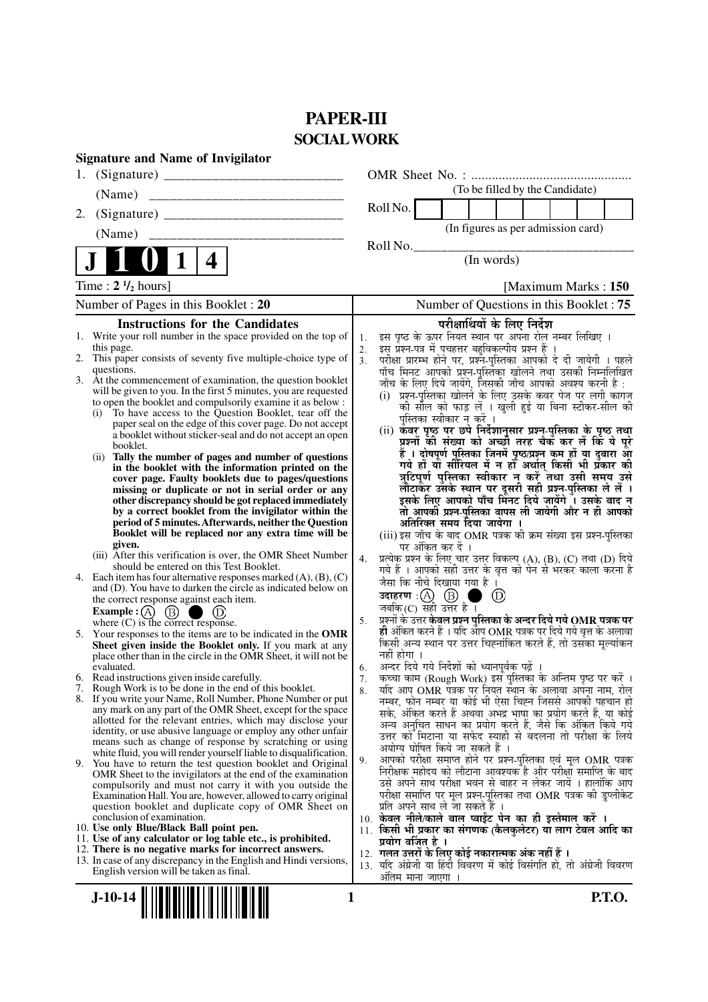# **PAPER-III SOCIAL WORK**

|    | <b>Signature and Name of Invigilator</b>                                                                                          |                      |                                                                                                                                                |
|----|-----------------------------------------------------------------------------------------------------------------------------------|----------------------|------------------------------------------------------------------------------------------------------------------------------------------------|
| 1. |                                                                                                                                   |                      |                                                                                                                                                |
|    | (Name)                                                                                                                            |                      | (To be filled by the Candidate)                                                                                                                |
| 2. |                                                                                                                                   |                      | Roll No.                                                                                                                                       |
|    | (Name)                                                                                                                            |                      | (In figures as per admission card)                                                                                                             |
|    | 4                                                                                                                                 |                      | Roll No.<br>(In words)                                                                                                                         |
|    | Time: $2 \frac{1}{2}$ hours]                                                                                                      |                      | [Maximum Marks: 150]                                                                                                                           |
|    | Number of Pages in this Booklet : 20                                                                                              |                      | Number of Questions in this Booklet: 75                                                                                                        |
|    | <b>Instructions for the Candidates</b>                                                                                            |                      | परीक्षार्थियों के लिए निर्देश                                                                                                                  |
|    | 1. Write your roll number in the space provided on the top of                                                                     | 1.                   | इस पृष्ठ के ऊपर नियत स्थान पर अपना रोल नम्बर लिखिए ।                                                                                           |
|    | this page.<br>2. This paper consists of seventy five multiple-choice type of                                                      | 2.<br>3 <sub>1</sub> | इस प्रश्न-पत्र में पचहत्तर बहुविकल्पीय प्रश्न हैं ।<br>परीक्षा प्रारम्भ होने पर, प्रश्नॅ-पुस्तिका आपको दे दी जायेगी । पहले                     |
|    | questions.                                                                                                                        |                      | पाँच मिनट आपको प्रश्न-पुस्तिका खोलने तथा उसकी निम्नलिखित                                                                                       |
|    | 3. At the commencement of examination, the question booklet<br>will be given to you. In the first 5 minutes, you are requested    |                      | जाँच के लिए दिये जायेंगे, जिसकी जाँच आपको अवश्य करनी है :                                                                                      |
|    | to open the booklet and compulsorily examine it as below :                                                                        |                      | (i)  प्रश्न-पुस्तिका खोलने के लिए उसके कवर पेज पर लगी कागज<br>को सील को फाड़ लें । खुली हुई या बिना स्टीकर-सील की                              |
|    | To have access to the Question Booklet, tear off the<br>(i)                                                                       |                      | पुस्तिका स्वीकार न करें ।                                                                                                                      |
|    | paper seal on the edge of this cover page. Do not accept<br>a booklet without sticker-seal and do not accept an open              |                      | (ii) कवर पृष्ठ पर छपे निर्देशानुसार प्रश्न-पुस्तिका के पृष्ठ तथा                                                                               |
|    | booklet.                                                                                                                          |                      | प्रश्नों की संख्या को अच्छी तरह चैक कर लें कि ये पूरे                                                                                          |
|    | Tally the number of pages and number of questions<br>(i)                                                                          |                      | हैं । दोषपूर्ण पुस्तिका जि़नमें पृष्ठ/प्रश्न कम हों या दुबारा आूँ<br>गये हों या सीरियल में न हों अर्थात् किसी भी प्रॅकार की                    |
|    | in the booklet with the information printed on the<br>cover page. Faulty booklets due to pages/questions                          |                      | त्रुटिपूर्ण पुस्तिका स्वीकार न करें तथा उसी समय उसे                                                                                            |
|    | missing or duplicate or not in serial order or any                                                                                |                      | लौटाकर उसके स्थान पर दूसरी सही प्रश्न-पुस्तिका ले लें ।                                                                                        |
|    | other discrepancy should be got replaced immediately<br>by a correct booklet from the invigilator within the                      |                      | इसके लिए आपको पाँच मिंनट दिये जायेंगे ँ। उसके बाद न<br>तो आपकी प्रश्न-पुस्तिका वापस ली जायेगी और न ही आपको                                     |
|    | period of 5 minutes. Afterwards, neither the Question                                                                             |                      | अतिरिक्त समय दिया जायेगा ।                                                                                                                     |
|    | Booklet will be replaced nor any extra time will be                                                                               |                      | (iii) इस जाँच के बाद OMR पत्रक की क्रम संख्या इस प्रश्न-पुस्तिका                                                                               |
|    | given.<br>(iii) After this verification is over, the OMR Sheet Number                                                             |                      | पर अंकित कर दें ।                                                                                                                              |
|    | should be entered on this Test Booklet.                                                                                           | 4.                   | प्रत्येक प्रश्न के लिए चार उत्तर विकल्प (A), (B), (C) तथा (D) दिये<br>गये हैं । आपको सही उत्तर के वृत्त को पेन से भरकर काला करना है            |
|    | 4. Each item has four alternative responses marked $(A)$ , $(B)$ , $(C)$                                                          |                      | जैसा कि नीचे दिखाया गया है ।                                                                                                                   |
|    | and (D). You have to darken the circle as indicated below on<br>the correct response against each item.                           |                      | $\circled{\scriptstyle D}$                                                                                                                     |
|    | Example : (A) $(B)$<br>$\bigcup$ (D)                                                                                              |                      | जबकि(C) सही उत्तर है।                                                                                                                          |
|    | where $(C)$ is the correct response.                                                                                              | 5.                   | प्रश्नों के उत्तर केवल प्रश्न पुस्तिका के अन्दर दिये गये $\bf OMR$ पत्रक पर<br>ही अंकित करने हैं । यदि ऑप OMR पत्रक पर दिये गये वृत्त के अलावा |
|    | 5. Your responses to the items are to be indicated in the OMR<br>Sheet given inside the Booklet only. If you mark at any          |                      | किसी अन्य स्थान पर उत्तर चिह्नांकित करते हैं, तो उसका मूल्यांकन                                                                                |
|    | place other than in the circle in the OMR Sheet, it will not be                                                                   |                      | नहीं होगा ।                                                                                                                                    |
|    | evaluated.                                                                                                                        | 6.                   | अन्दर दिये गये निर्देशों को ध्यानपूर्वक पढ़ें ।                                                                                                |
|    | 6. Read instructions given inside carefully.<br>7. Rough Work is to be done in the end of this booklet.                           | 7.<br>8.             | कच्चा काम (Rough Work) इस पुस्तिका के अन्तिम पृष्ठ पर करें ।<br>र्याद आप OMR पत्रक पर नियत स्थान के अलावा अपना नाम, रोल                        |
|    | 8. If you write your Name, Roll Number, Phone Number or put                                                                       |                      | नम्बर, फोन नम्बर या कोई भी ऐसा चिह्न जिससे आपकी पहचान हो                                                                                       |
|    | any mark on any part of the OMR Sheet, except for the space<br>allotted for the relevant entries, which may disclose your         |                      | सके, अंकित करते हैं अथवा अभद्र भाषा का प्रयोग करते हैं, या कोई                                                                                 |
|    | identity, or use abusive language or employ any other unfair                                                                      |                      | अन्य अनुचित साधन का प्रयोग करते हैं, जैसे कि अंकित किये गये<br>उत्तर को मिटाना या सफेद स्याही से बदलना तो परीक्षा के लिये                      |
|    | means such as change of response by scratching or using                                                                           |                      | अयोग्य घोषित किये जा सकते हैं ।                                                                                                                |
|    | white fluid, you will render yourself liable to disqualification.<br>9. You have to return the test question booklet and Original | 9.                   | आपको परीक्षा समाप्त होने पर प्रश्न-पुस्तिका एवं मूल OMR पत्रक                                                                                  |
|    | OMR Sheet to the invigilators at the end of the examination                                                                       |                      | निरीक्षक महोदय को लौटाना आवश्यक है और परीक्षा समाप्ति के बाद                                                                                   |
|    | compulsorily and must not carry it with you outside the<br>Examination Hall. You are, however, allowed to carry original          |                      | उसे अपने साथ परीक्षा भवन से बाहर न लेकर जायें । हालांकि आप<br>परीक्षा समाप्ति पर मूल प्रश्न-पुस्तिका तथा OMR पत्रक की डुप्लीकेट                |
|    | question booklet and duplicate copy of OMR Sheet on                                                                               |                      | प्रति अपने साथ ले जा सकते हैं ।                                                                                                                |
|    | conclusion of examination.                                                                                                        |                      | 10. केवल नीले/काले बाल प्वाईंट पेन का ही इस्तेमाल करें ।                                                                                       |
|    | 10. Use only Blue/Black Ball point pen.<br>11. Use of any calculator or log table etc., is prohibited.                            |                      | 11. किसी भी प्रकार का संगणक (कैलकुलेटर) या लाग टेबल आदि का                                                                                     |
|    | 12. There is no negative marks for incorrect answers.                                                                             |                      | प्रयोग वर्जित है ।<br>12. गलत उत्तरों के लिए कोई नकारात्मक अंक नहीं हैं ।                                                                      |
|    | 13. In case of any discrepancy in the English and Hindi versions,                                                                 |                      | 13. यदि अंग्रेजी या हिंदी विवरण में कोई विसंगति हो, तो अंग्रेजी विवरण                                                                          |
|    | English version will be taken as final.                                                                                           |                      | अंतिम माना जाएगा                                                                                                                               |
|    | $J-10-14$<br>1                                                                                                                    |                      | <b>P.T.O.</b>                                                                                                                                  |
|    |                                                                                                                                   |                      |                                                                                                                                                |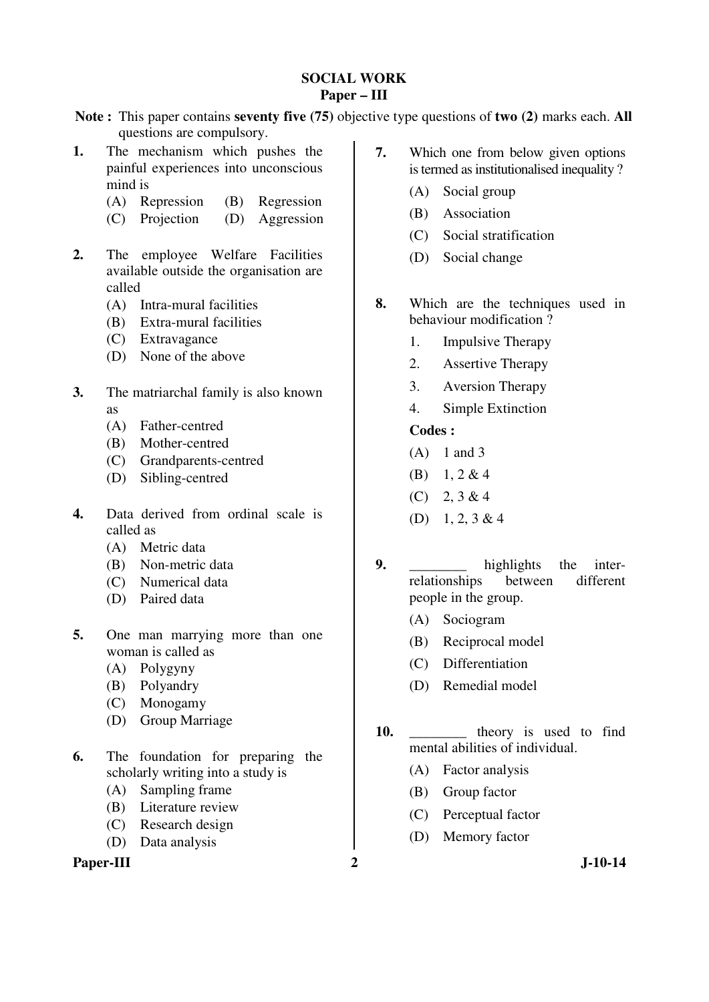#### **SOCIAL WORK Paper – III**

**Note :** This paper contains **seventy five (75)** objective type questions of **two (2)** marks each. **All** questions are compulsory.

- **1.** The mechanism which pushes the painful experiences into unconscious mind is
	- (A) Repression (B) Regression
	- (C) Projection (D) Aggression
- **2.** The employee Welfare Facilities available outside the organisation are called
	- (A) Intra-mural facilities
	- (B) Extra-mural facilities
	- (C) Extravagance
	- (D) None of the above
- **3.** The matriarchal family is also known as
	- (A) Father-centred
	- (B) Mother-centred
	- (C) Grandparents-centred
	- (D) Sibling-centred
- **4.** Data derived from ordinal scale is called as
	- (A) Metric data
	- (B) Non-metric data
	- (C) Numerical data
	- (D) Paired data
- **5.** One man marrying more than one woman is called as
	- (A) Polygyny
	- (B) Polyandry
	- (C) Monogamy
	- (D) Group Marriage
- **6.** The foundation for preparing the scholarly writing into a study is
	- (A) Sampling frame
	- (B) Literature review
	- (C) Research design
	- (D) Data analysis

## Paper-III 2 J-10-14

- **7.** Which one from below given options is termed as institutionalised inequality ?
	- (A) Social group
	- (B) Association
	- (C) Social stratification
	- (D) Social change
- **8.** Which are the techniques used in behaviour modification ?
	- 1. Impulsive Therapy
	- 2. Assertive Therapy
	- 3. Aversion Therapy
	- 4. Simple Extinction

## **Codes :**

- $(A)$  1 and 3
- (B) 1, 2 & 4
- $(C)$  2, 3 & 4
- (D) 1, 2, 3 & 4
- **9.** highlights the interrelationships between different people in the group.
	- (A) Sociogram
	- (B) Reciprocal model
	- (C) Differentiation
	- (D) Remedial model
- 
- 10. **theory** is used to find mental abilities of individual.
	- (A) Factor analysis
	- (B) Group factor
	- (C) Perceptual factor
	- (D) Memory factor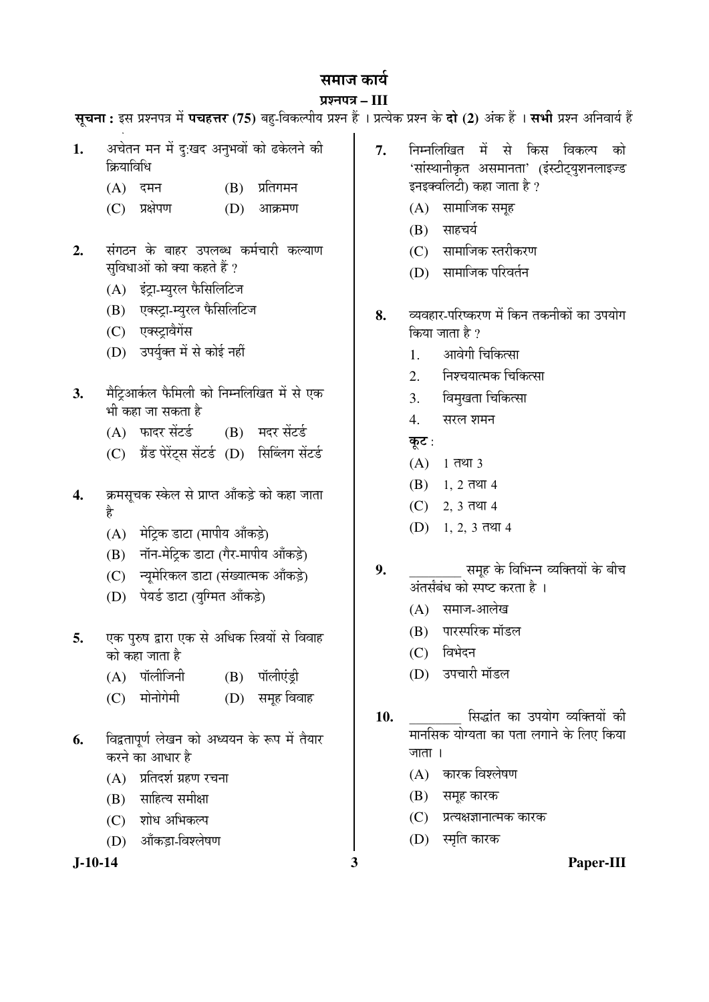## समाज कार्य

## प्रश्नपत्र – III

**1.** अचेतन मन में दु:खद अनुभवों को ढकेलने की क्रियाविधि  $(A)$  दमन  $(B)$  प्रतिगमन (C) प्रक्षेपण (D) आक्रमण 2. संगठन के बाहर उपलब्ध कर्मचारी कल्याण सविधाओं को क्या कहते हैं ?  $(A)$  इंट्रा-म्युरल फैसिलिटिज (B) एक्स्ट्रा-म्युरल फैसिलिटिज (C) एक्स्ट्रावैगेंस (D) उपर्युक्त में से कोई नहीं 3. मैट्रिआर्कल फैमिली को निम्नलिखित में से एक भी कहा जा सकता है  $(A)$  फादर सेंटर्ड  $(B)$  मदर सेंटर्ड (C) ग्रैंड पेरेंट्स सेंटर्ड (D) सिब्लिंग सेंटर्ड 4. ÞAHसूचक स्केल से प्राप्त आँकड़े को कहा जाता है (A) मेट्रिक डाटा (मापीय आँकड़े) (B) नॉन-मेट्रिक डाटा (गैर-मापीय आँकड़े) (C) न्युमेरिकल डाटा (संख्यात्मक आँकड़े) (D) पेयर्ड डाटा (यग्मित आँकडे) 5. **एक पुरुष द्वारा एक से अधिक स्त्रियों** से विवाह को कहा जाता है (A) पॉलीजिनी (B) पॉलीएंड़ी (C) मोनोगेमी (D) समूह विवाह 7. निम्नलिखित में से किस विकल्प को 'सांस्थानीकृत असमानता' (इंस्टीट्युशनलाइज्ड इनइक्वलिटी) कहा जाता है ?  $(A)$  सामाजिक समृह  $(B)$  साहचर्य (C) सामाजिक स्तरीकरण (D) सामाजिक परिवर्तन 8. व्यवहार-परिष्करण में किन तकनीकों का उपयोग किया जाता है ? 1. । आवेगी चिकित्सा  $2 \overline{a}$  निश्चयात्मक चिकित्सा 3. विमुखता चिकित्सा 4. सरल शमन कूट :  $(A)$  1 तथा 3  $(B)$  1, 2 तथा 4  $(C)$  2, 3 तथा 4  $(D)$  1, 2, 3 तथा 4 **9.** \_\_\_\_\_\_\_\_ ÃÖ´ÖæÆü Ûêú ×¾Ö׳֮®Ö ¾µÖ׌ŸÖµÖÖë Ûêú ²Öß"Ö †ÓŸÖÃÖÕ²ÖÓ¬Ö ÛúÖê ïÖ™ü Ûú¸üŸÖÖ Æîü … (A) समाज-आलेख (B) पारस्परिक मॉडल (C) विभेदन (D) उपचारी मॉडल स्**चना:** इस प्रश्नपत्र में **पचहत्तर (75)** बह-विकल्पीय प्रश्न हैं । प्रत्येक प्रश्न के **दो (2)** अंक हैं । सभी प्रश्न अनिवार्य हैं  $\ddot{\phantom{0}}$ 

- 6. विद्वतापर्ण लेखन को अध्ययन के रूप में तैयार करने का आधार है
	- $(A)$  प्रतिदर्श ग्रहण रचना
	- $(B)$  साहित्य समीक्षा
	- (C) शोध अभिकल्प
	- (D) ऑकडा-विश्लेषण

- 10. <sup>10.</sup> <sup>हिं</sup>सिद्धांत का उपयोग व्यक्तियों की मानसिक योग्यता का पता लगाने के लिए किया जाता $\perp$ 
	- $(A)$  कारक विश्लेषण
	- $(B)$  समूह कारक
	- (C) प्रत्यक्षज्ञानात्मक कारक
	- (D) स्मृति कारक

**J-10-14 3 Paper-III**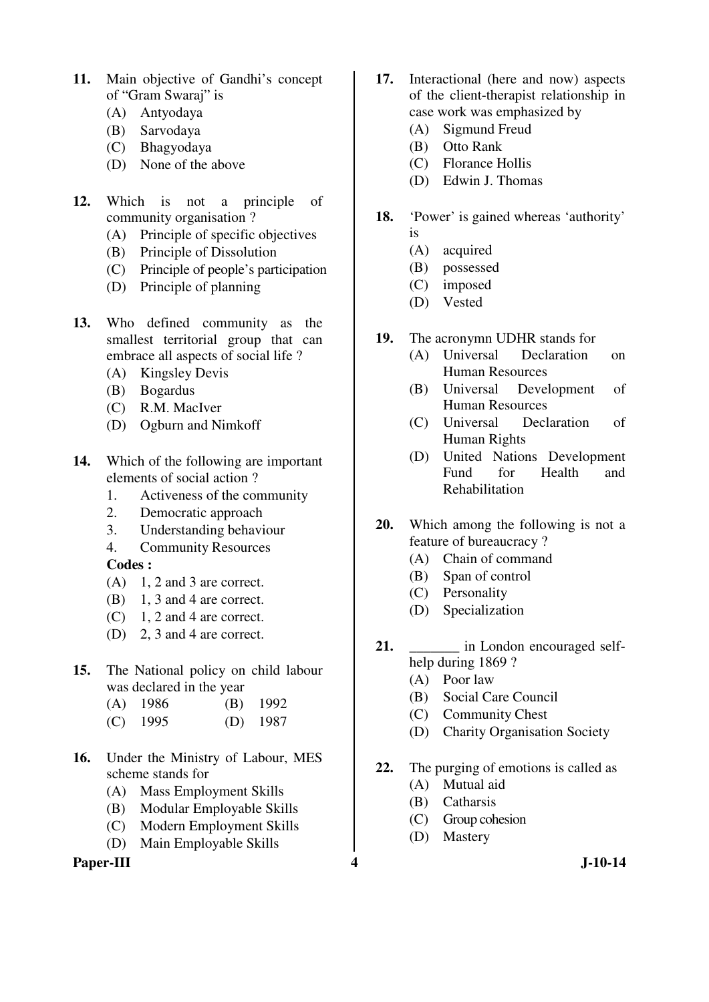- **11.** Main objective of Gandhi's concept of "Gram Swaraj" is
	- (A) Antyodaya
	- (B) Sarvodaya
	- (C) Bhagyodaya
	- (D) None of the above
- **12.** Which is not a principle of community organisation ?
	- (A) Principle of specific objectives
	- (B) Principle of Dissolution
	- (C) Principle of people's participation
	- (D) Principle of planning
- **13.** Who defined community as the smallest territorial group that can embrace all aspects of social life ?
	- (A) Kingsley Devis
	- (B) Bogardus
	- (C) R.M. MacIver
	- (D) Ogburn and Nimkoff
- **14.** Which of the following are important elements of social action ?
	- 1. Activeness of the community
	- 2. Democratic approach
	- 3. Understanding behaviour
	- 4. Community Resources
	- **Codes :**
	- $(A)$  1, 2 and 3 are correct.
	- (B) 1, 3 and 4 are correct.
	- $(C)$  1, 2 and 4 are correct.
	- (D) 2, 3 and 4 are correct.
- **15.** The National policy on child labour was declared in the year
	- (A) 1986 (B) 1992
	- (C) 1995 (D) 1987
- **16.** Under the Ministry of Labour, MES scheme stands for
	- (A) Mass Employment Skills
	- (B) Modular Employable Skills
	- (C) Modern Employment Skills
	- (D) Main Employable Skills

Paper-III **4** J-10-14

- **17.** Interactional (here and now) aspects of the client-therapist relationship in case work was emphasized by
	- (A) Sigmund Freud
	- (B) Otto Rank
	- (C) Florance Hollis
	- (D) Edwin J. Thomas
- **18.** 'Power' is gained whereas 'authority' is
	- (A) acquired
	- (B) possessed
	- (C) imposed
	- (D) Vested
- **19.** The acronymn UDHR stands for
	- (A) Universal Declaration on Human Resources
	- (B) Universal Development of Human Resources
	- (C) Universal Declaration of Human Rights
	- (D) United Nations Development Fund for Health and Rehabilitation
- **20.** Which among the following is not a feature of bureaucracy ?
	- (A) Chain of command
	- (B) Span of control
	- (C) Personality
	- (D) Specialization
- 21. **a** in London encouraged selfhelp during 1869 ?
	- (A) Poor law
	- (B) Social Care Council
	- (C) Community Chest
	- (D) Charity Organisation Society
- **22.** The purging of emotions is called as
	- (A) Mutual aid
	- (B) Catharsis
	- (C) Group cohesion
	- (D) Mastery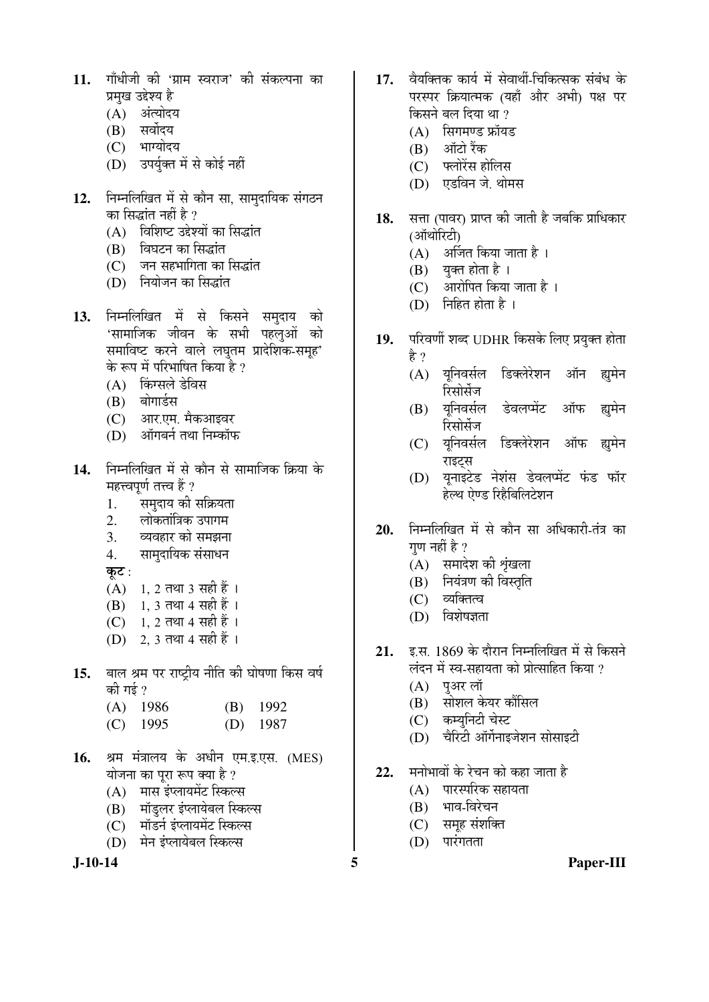- 11. गाँधीजी की 'ग्राम स्वराज' की संकल्पना का प्रमुख उद्देश्य है
	- (A) अंत्योदय
	- (B) सर्वोदय
	- (C) भाग्योदय
	- (D) उपर्युक्त में से कोई नहीं
- 12. FETHलिखित में से कौन सा, सामुदायिक संगठन का सिद्धांत नहीं है ?
	- (A) विशिष्ट उद्देश्यों का सिद्धांत
	- (B) विघटन का सिद्धांत
	- (C) जन सहभागिता का सिद्धांत
	- (D) नियोजन का सिद्धांत
- 1**3.** निम्नलिखित में से किसने समुदाय को 'सामाजिक जीवन के सभी पहलुओं को समाविष्ट करने वाले लघुतम प्रादेशिक-समूह' के रूप में परिभाषित किया है ?
	- (A) किंग्सले डेविस
	- (B) बोगार्डस
	- (C) आर.एम. मैकआइवर
	- (D) ऑगर्बर्न तथा निम्कॉफ
- 14. निम्नलिखित में से कौन से सामाजिक क्रिया के महत्त्वपूर्ण तत्त्व हैं ?
	- 1. समुदाय की सक्रियता
	- 2. लोकतांत्रिक उपागम
	- 3. व्यवहार को समझना
	- 4. सामुदायिक संसाधन
	- कुट $:$
	- $(A)$  1, 2 तथा 3 सही हैं।
	- (B) 1, 3 तथा 4 सही हैं।
	- (C) 1, 2 तथा 4 सही हैं ।
	- (D) 2, 3 तथा 4 सही हैं ।
- 15. बाल श्रम पर राष्ट्रीय नीति की घोषणा किस वर्ष की गई ?
	- (A) 1986 (B) 1992
	- (C) 1995 (D) 1987
- 16. श्रम मंत्रालय के अधीन एम.इ.एस. (MES) योजना का पुरा रूप क्या है ?
	- (A) मास इंप्लायमेंट स्किल्स
	- (B) मॉडुलर इंप्लायेबल स्किल्स
	- (C) मॉडर्न इंप्लायमेंट स्किल्स
	- (D) मेन इंप्लायेबल स्किल्स

- 17. वैयक्तिक कार्य में सेवार्थी-चिकित्सक संबंध के परस्पर क्रियात्मक (यहाँ और अभी) पक्ष पर किसने बल दिया था ?
	- $(A)$  सिगमण्ड फ्रॉयड
	- $(B)$  ऑटो रैंक
	- $(C)$  फ्लोरेंस होलिस
	- (D) एडविन जे. थोमस
- 18. सत्ता (पावर) प्राप्त की जाती है जबकि प्राधिकार (ऑथोरिटी)
	- $(A)$  अर्जित किया जाता है।
	- $(B)$  युक्त होता है।
	- $(C)$  आरोपित किया जाता है।
	- $(D)$  निहित होता है ।
- 19. परिवर्णी शब्द UDHR किसके लिए प्रयुक्त होता हे ?
	- (A) यनिवर्सल डिक्लेरेशन ऑन ह्यमेन रिसोर्सेज
	- (B) यूनिवर्सल डेवलप्मेंट ऑफ ह्यूमेन रिमोर्सेज
	- (C) यूनिवर्सल डिक्लेरेशन ऑफ ह्युमेन राइट्स
	- (D) यूनाइटेड नेशंस डेवलप्मेंट फंड फॉर हेल्थ ऐण्ड रिहैबिलिटेशन
- 20. ਜਿਸਕਿਰਿਯਿਗ में से कौन सा अधिकारी-तंत्र का गुण नहीं है ?
	- $(A)$  समादेश की शृंखला
	- (B) नियंत्रण की विस्तृति
	- (C) व्यक्तित्व
	- $(D)$  विशेषज्ञता
- 21. **इ.स. 1869 के दौरान निम्नलिखित में से** किसने लंदन में स्व-सहायता को प्रोत्साहित किया ?
	- (A) पुअर लॉ
	- (B) सोशल केयर कौंसिल
	- (C) कम्युनिटी चेस्ट
	- $(D)$  चेरिटी ऑर्गेनाइजेशन सोसाइटी
- 22. मनोभावों के रेचन को कहा जाता है
	- $(A)$  पारस्परिक सहायता
	- $(B)$  भाव-विरेचन
	- (C) समूह संशक्ति
	- $(D)$  पारंगतता

**J-10-14 5 Paper-III**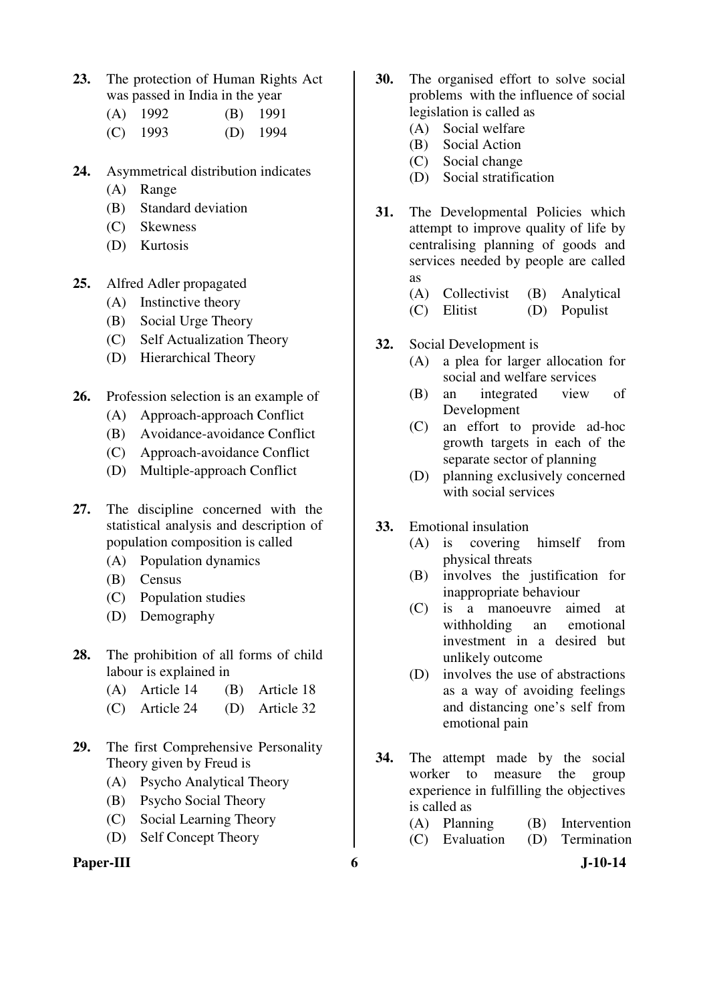**23.** The protection of Human Rights Act was passed in India in the year

| $(A)$ 1992 | $(B)$ 1991 |
|------------|------------|
| $(C)$ 1993 | $(D)$ 1994 |

- **24.** Asymmetrical distribution indicates
	- (A) Range
	- (B) Standard deviation
	- (C) Skewness
	- (D) Kurtosis
- **25.** Alfred Adler propagated
	- (A) Instinctive theory
	- (B) Social Urge Theory
	- (C) Self Actualization Theory
	- (D) Hierarchical Theory
- **26.** Profession selection is an example of
	- (A) Approach-approach Conflict
	- (B) Avoidance-avoidance Conflict
	- (C) Approach-avoidance Conflict
	- (D) Multiple-approach Conflict
- **27.** The discipline concerned with the statistical analysis and description of population composition is called
	- (A) Population dynamics
	- (B) Census
	- (C) Population studies
	- (D) Demography
- **28.** The prohibition of all forms of child labour is explained in
	- (A) Article 14 (B) Article 18
	- (C) Article 24 (D) Article 32
- **29.** The first Comprehensive Personality Theory given by Freud is
	- (A) Psycho Analytical Theory
	- (B) Psycho Social Theory
	- (C) Social Learning Theory
	- (D) Self Concept Theory

#### **Paper-III** 6 J-10-14

- **30.** The organised effort to solve social problems with the influence of social legislation is called as
	- (A) Social welfare
	- (B) Social Action
	- (C) Social change
	- (D) Social stratification
- **31.** The Developmental Policies which attempt to improve quality of life by centralising planning of goods and services needed by people are called as
	- (A) Collectivist (B) Analytical
	- (C) Elitist (D) Populist
- **32.** Social Development is
	- (A) a plea for larger allocation for social and welfare services
	- (B) an integrated view of Development
	- (C) an effort to provide ad-hoc growth targets in each of the separate sector of planning
	- (D) planning exclusively concerned with social services
- **33.** Emotional insulation
	- (A) is covering himself from physical threats
	- (B) involves the justification for inappropriate behaviour
	- (C) is a manoeuvre aimed at withholding an emotional investment in a desired but unlikely outcome
	- (D) involves the use of abstractions as a way of avoiding feelings and distancing one's self from emotional pain
- **34.** The attempt made by the social worker to measure the group experience in fulfilling the objectives is called as
	- (A) Planning (B) Intervention (C) Evaluation (D) Termination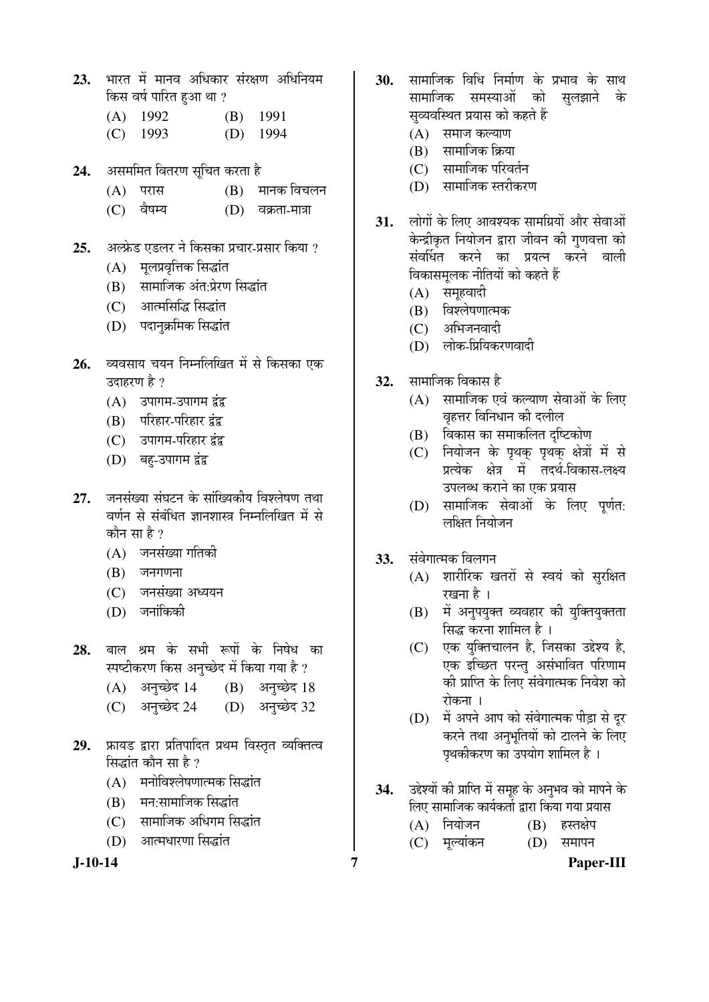- 23. भारत में मानव अधिकार संरक्षण अधिनियम किस वर्ष पारित हुआ था ?
	- (A) 1992 (B) 1991
	- (C) 1993 (D) 1994
- 24. ¥असममित वितरण सूचित करता है
	- $(A)$  परास  $(B)$  मानक विचलन
	- (C) ¾ÖîÂÖ´µÖ (D) ¾ÖÛÎúŸÖÖ-´ÖÖ¡ÖÖ
- 25. अल्फ्रेड एडलर ने किसका प्रचार-प्रसार किया ?
	- (A) मलप्रवृत्तिक सिद्धांत
	- (B) सामाजिक अंत:प्रेरण सिद्धांत
	- (C) आत्मसिद्धि सिद्धांत
	- (D) पदानुक्रमिक सिद्धांत
- 26. व्यवसाय चयन निम्नलिखित में से किसका एक उदाहरण है ?
	- $(A)$  उपागम-उपागम द्वंद्व
	- (B) परिहार-परिहार द्वंद्व
	- (C) उपागम-परिहार द्वंद्व
	- (D) बहु-उपागम द्वंद्व
- 27. जनसंख्या संघटन के सांख्यिकीय विश्लेषण तथा वर्णन से संबंधित ज्ञानशास्त्र निम्नलिखित में से कौन सा $\boldsymbol{\hat{\varepsilon}}$  ?
	- $(A)$  जनसंख्या गतिकी
	- $(B)$  जनगणना
	- (C) जनसंख्या अध्ययन
	- $(D)$  जनांकिकी
- 28. बाल श्रम के सभी रूपों के निषेध का स्पष्टीकरण किस अनुच्छेद में किया गया है ?
	- $(A)$  अनुच्छेद 14  $(B)$  अनुच्छेद 18
	- (C) अनुच्छेद 24 (D) अनुच्छेद 32
- 29. फ्रायड द्वारा प्रतिपादित प्रथम विस्तृत व्यक्तित्व सिद्धांत कौन सा है ?
	- (A) मनोविश्लेषणात्मक सिद्धांत
	- $(B)$  गम:सामाजिक सिद्धांत
	- (C) सामाजिक अधिगम सिद्धांत
	- $(D)$  आत्मधारणा सिद्धांत

- **30.** सामाजिक विधि निर्माण के प्रभाव के साथ<br>सामाजिक समस्याओं को सलझाने के सामाजिक समस्याओं को सब्यवस्थित प्रयास को कहते हैं
	- $(A)$  समाज कल्याण
	- $(B)$  सामाजिक क्रिया
	- (C) सामाजिक परिवर्तन
	- (D) सामाजिक स्तरीकरण
- 31. लोगों के लिए आवश्यक सामग्रियों और सेवाओं केन्द्रीकृत नियोजन द्वारा जीवन की गुणवत्ता को संवर्धित करने का प्रयत्न करने वाली विकासमुलक नीतियों को कहते हैं
	- $(A)$  समुहवादी
	- (B) विश्लेषणात्मक
	- (C) अभिजनवादी
	- (D) लोक-प्रियिकरणवादी
- 32. सामाजिक विकास है
	- $(A)$  सामाजिक एवं कल्याण सेवाओं के लिए वृहत्तर विनिधान की दलील
	- (B) विकास का समाकलित दृष्टिकोण
	- (C) नियोजन के पृथक पृथक क्षेत्रों में से प्रत्येक क्षेत्र में तदर्थ-विकास-लक्ष्य उपलब्ध कराने का एक प्रयास
	- (D) सामाजिक सेवाओं के लिए पूर्णत: लक्षित नियोजन
- 33. संवेगात्मक विलगन
	- (A) शारीरिक खतरों से स्वयं को सुरक्षित रखना है ।
	- (B) में अनुपयुक्त व्यवहार की युक्तियुक्तता सिद्ध करना शामिल है ।
	- $(C)$  एक यक्तिचालन है. जिसका उद्देश्य है. एक इच्छित परन्तु असंभावित परिणाम को प्राप्ति के लिए संवेगात्मक निवेश को रोकना ।
	- (D) में अपने आप को संवेगात्मक पीड़ा से दूर करने तथा अनुभूतियों को टालने के लिए पृथकीकरण का उपयोग शामिल है ।
- 34. उद्देश्यों की प्राप्ति में समूह के अनुभव को मापने के लिए सामाजिक कार्यकर्ता द्वारा किया गया प्रयास
	- (A) नियोजन (B) हस्तक्षेप
	- (C) मुल्यांकन (D) समापन

**J-10-14 7 Paper-III**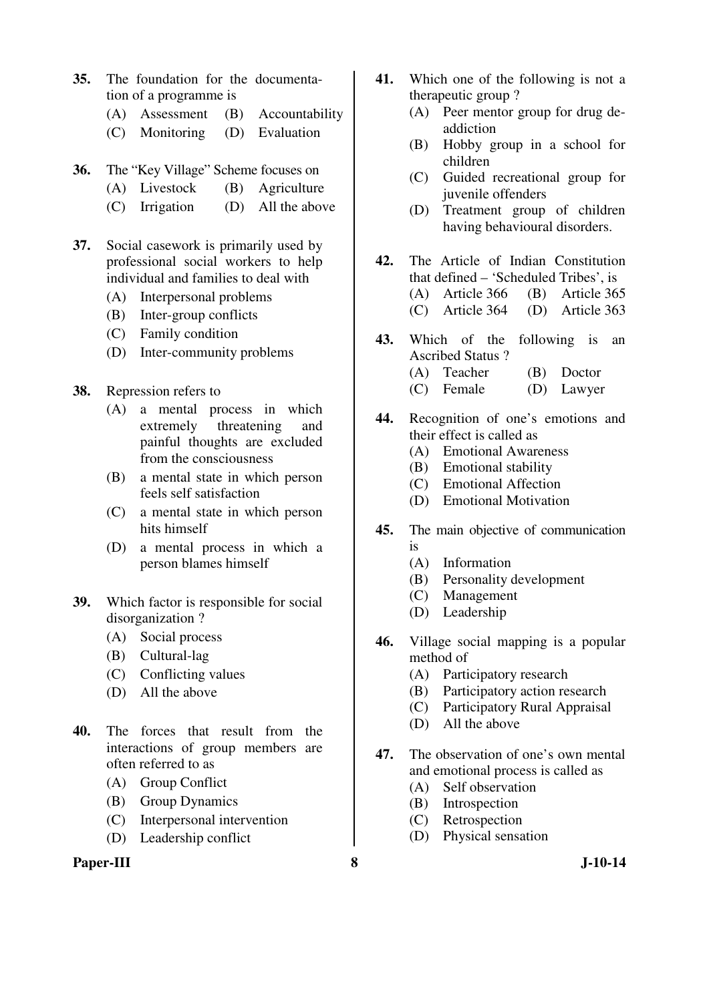- **35.** The foundation for the documentation of a programme is
	- (A) Assessment (B) Accountability
	- (C) Monitoring (D) Evaluation
- **36.** The "Key Village" Scheme focuses on
	- (A) Livestock (B) Agriculture
	- (C) Irrigation (D) All the above
- **37.** Social casework is primarily used by professional social workers to help individual and families to deal with
	- (A) Interpersonal problems
	- (B) Inter-group conflicts
	- (C) Family condition
	- (D) Inter-community problems
- **38.** Repression refers to
	- (A) a mental process in which extremely threatening and painful thoughts are excluded from the consciousness
	- (B) a mental state in which person feels self satisfaction
	- (C) a mental state in which person hits himself
	- (D) a mental process in which a person blames himself
- **39.** Which factor is responsible for social disorganization ?
	- (A) Social process
	- (B) Cultural-lag
	- (C) Conflicting values
	- (D) All the above
- **40.** The forces that result from the interactions of group members are often referred to as
	- (A) Group Conflict
	- (B) Group Dynamics
	- (C) Interpersonal intervention
	- (D) Leadership conflict

#### **Paper-III** 8 J-10-14

- **41.** Which one of the following is not a therapeutic group ?
	- (A) Peer mentor group for drug deaddiction
	- (B) Hobby group in a school for children
	- (C) Guided recreational group for juvenile offenders
	- (D) Treatment group of children having behavioural disorders.
- **42.** The Article of Indian Constitution that defined – 'Scheduled Tribes', is (A) Article 366 (B) Article 365 (C) Article 364 (D) Article 363
- **43.** Which of the following is an Ascribed Status ?
	- (A) Teacher (B) Doctor
	- (C) Female (D) Lawyer
- **44.** Recognition of one's emotions and their effect is called as
	- (A) Emotional Awareness
	- (B) Emotional stability
	- (C) Emotional Affection
	- (D) Emotional Motivation
- **45.** The main objective of communication is
	- (A) Information
	- (B) Personality development
	- (C) Management
	- (D) Leadership
- **46.** Village social mapping is a popular method of
	- (A) Participatory research
	- (B) Participatory action research
	- (C) Participatory Rural Appraisal
	- (D) All the above
- **47.** The observation of one's own mental and emotional process is called as
	- (A) Self observation
	- (B) Introspection
	- (C) Retrospection
	- (D) Physical sensation
-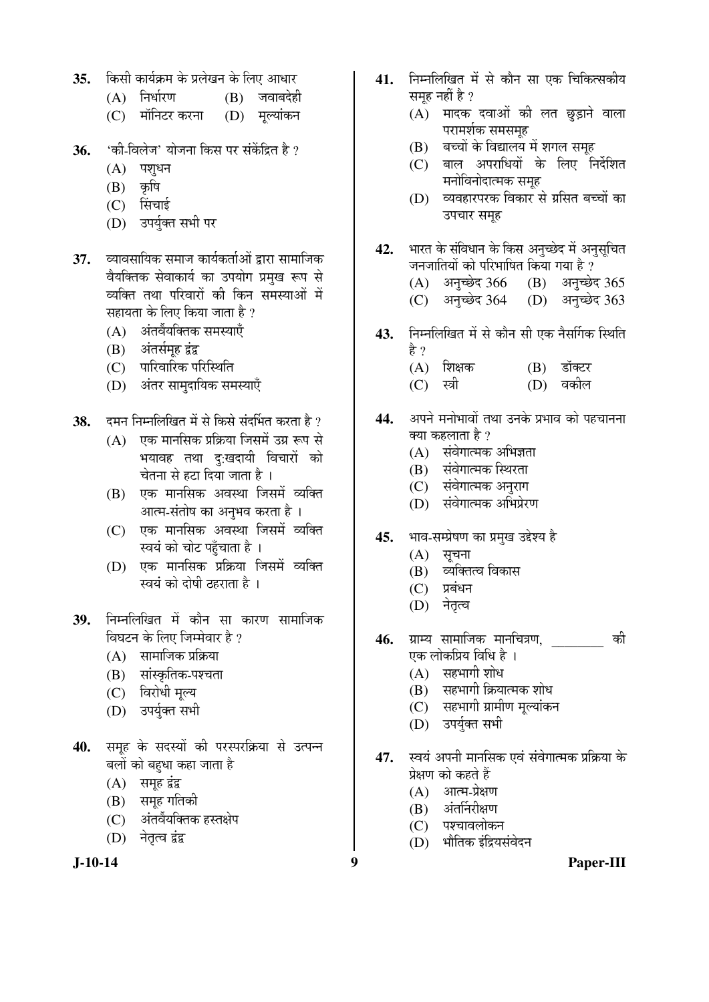- 35. **किसी कार्यक्रम के प्रलेखन के लिए** आधार
	- $(A)$  निर्धारण  $(B)$  जवाबदेही
	- (C) मॉनिटर करना (D) मुल्यांकन
- **36.** 'की-विलेज' योजना किस पर संकेंद्रित है ?
	- $(A)$  पशुधन
	- $(B)$  कृषि
	- (C) सिंचाई
	- (D) उपर्युक्त सभी पर
- **37.** व्यावसायिक समाज कार्यकर्ताओं द्वारा सामाजिक वैयक्तिक सेवाकार्य का उपयोग प्रमुख रूप से <u>व्यक्ति तथा परिवारों की किन समस्याओं में</u> सहायता के लिए किया जाता है ?
	- $(A)$  अंतर्वेयक्तिक समस्याएँ
	- (B) अंतर्समूह द्वंद्व
	- (C) पारिवारिक परिस्थिति
	- (D) अंतर सामदायिक समस्याएँ
- 38. दमन निम्नलिखित में से किसे संदर्भित करता है ?
	- $(A)$  एक मानसिक प्रक्रिया जिसमें उग्र रूप से भयावह तथा दु:खदायी विचारों को चेतना से हटा दिया जाता है ।
	- (B) एक मानसिक अवस्था जिसमें व्यक्ति आत्म-संतोष का अनुभव करता है ।
	- (C) एक मानसिक अवस्था जिसमें व्यक्ति स्वयं को चोट पहुँचाता है ।
	- (D) एक मानसिक प्रक्रिया जिसमें व्यक्ति स्वयं को दोषी ठहराता है ।
- 39. निम्नलिखित में कौन सा कारण सामाजिक विघटन के लिए जिम्मेवार है ?
	- $(A)$  सामाजिक प्रक्रिया
	- (B) सांस्कृतिक-पश्चता
	- (C) विरोधी मूल्य
	- (D) उपर्यक्त सभी
- 40. समूह के सदस्यों की परस्परक्रिया से उत्पन्न बलों को बहधा कहा जाता है
	- $(A)$  समूह द्वंद्व
	- (B) समूह गतिकी
	- (C) अंतर्वेयक्तिक हस्तक्षेप
	- (D) नेतृत्व द्वंद्व

- 41. निम्नलिखित में से कौन सा एक चिकित्सकीय समूह नहीं है ?
	- $(A)$  मादक दवाओं की लत छुड़ाने वाला परामर्शक समसमूह
	- (B) बच्चों के विद्यालय में शगल समूह
	- (C) बाल अपराधियों के लिए निर्देशित <sup>.</sup>मनोविनोदात्मक समृह
	- (D) व्यवहारपरक विकार से ग्रसित बच्चों का उपचार समह
- 42. भारत के संविधान के किस अनुच्छेद में अनुसूचित जनजातियों को परिभाषित किया गया है ?<br>(A) अनुच्छेद 366 (B) अनुच्छेद 365
	- $(A)$  अनुच्छेद 366
	- (C) अनुच्छेद 364 (D) अनुच्छेद 363
- 43. निम्नलिखित में से कौन सी एक नैसर्गिक स्थिति हे ?
	- $(A)$  शिक्षक  $(B)$  डॉक्टर
	- (C) स्त्री (D) वकील
- 44. अपने मनोभावों तथा उनके प्रभाव को पहचानना क्या कहलाता है ?
	- $(A)$  संवेगात्मक अभिज्ञता
	- (B) संवेगात्मक स्थिरता
	- (C) संवेगात्मक अनुराग
	- (D) संवेगात्मक अभिप्रेरण
- 45. भाव-सम्प्रेषण का प्रमुख उद्देश्य है
	- $(A)$  सूचना
	- $(B)$  व्यक्तित्व विकास
	- $(C)$  प्रबंधन
	- (D) नेतृत्व
- **46.** ग्राम्य सामाजिक मानचित्रण, की एक लोकप्रिय विधि है ।
	- $(A)$  सहभागी शोध
	- (B) सहभागी क्रियात्मक शोध
	- (C) सहभागी ग्रामीण मुल्यांकन
	- (D) उपर्युक्त सभी
- 47. Þबयं अपनी मानसिक एवं संवेगात्मक प्रक्रिया के प्रेक्षण को कहते हैं
	- $(A)$  आत्म-प्रेक्षण
	- $(B)$  अंतर्निरीक्षण
	- (C) पश्चावलोकन
	- (D) भौतिक इंद्रियसंवेदन

**J-10-14 9 Paper-III**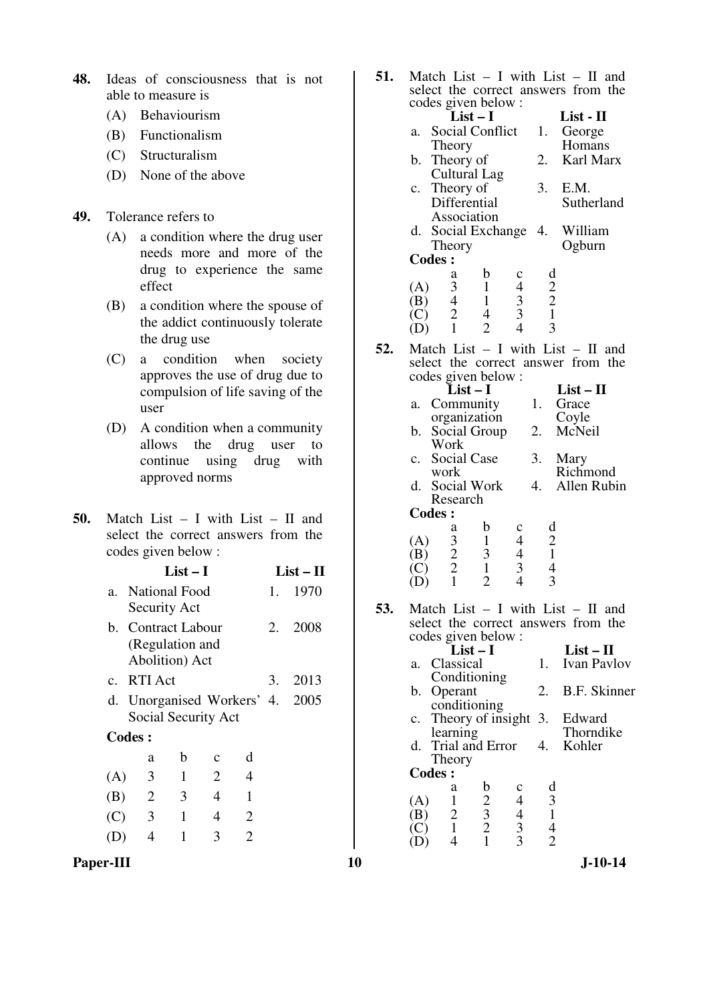- **48.** Ideas of consciousness that is not able to measure is
	- (A) Behaviourism
	- (B) Functionalism
	- (C) Structuralism
	- (D) None of the above

## **49.** Tolerance refers to

- (A) a condition where the drug user needs more and more of the drug to experience the same effect
- (B) a condition where the spouse of the addict continuously tolerate the drug use
- (C) a condition when society approves the use of drug due to compulsion of life saving of the user
- (D) A condition when a community allows the drug user to continue using drug with approved norms
- **50.** Match List I with List II and select the correct answers from the codes given below :

| $List-I$ |               | $List-II$            |
|----------|---------------|----------------------|
|          | $\sim$ $\sim$ | $\sim$ $\sim$ $\sim$ |

| a. National Food  | 1. 1970 |
|-------------------|---------|
| Security Act      |         |
| h Contract Labour | 2008    |

- b. Contract Labour (Regulation and Abolition) Act 2. 2008
- c. RTI Act 3. 2013 d. Unorganised Workers' 4. 2005 Social Security Act
- **Codes :**

|     | a | b | c | d |
|-----|---|---|---|---|
| (A) | 3 | 1 | 2 | 4 |
| (B) | 2 | 3 | 4 |   |
| (C) | 3 | 1 | 4 | 2 |
| (D) | 4 |   | 3 | 2 |

| Paper-III | $J-10-14$ |
|-----------|-----------|
|           |           |

**51.** Match List – I with List – II and select the correct answers from the codes given below :

|     | codes given below: |              |                          |                |            |
|-----|--------------------|--------------|--------------------------|----------------|------------|
|     |                    | $List-I$     |                          |                | List - II  |
|     | a. Social Conflict |              |                          | 1.             | George     |
|     | Theory             |              |                          |                | Homans     |
| b.  | Theory of          |              |                          | 2.             | Karl Marx  |
|     | Cultural Lag       |              |                          |                |            |
|     | c. Theory of       |              |                          | 3.             | E.M.       |
|     | Differential       |              |                          |                | Sutherland |
|     | Association        |              |                          |                |            |
|     | d. Social Exchange |              |                          | -4.            | William    |
|     | Theory             |              |                          |                | Ogburn     |
|     | <b>Codes:</b>      |              |                          |                |            |
|     | a                  | b            |                          | d              |            |
| (A) | 3                  |              | $\overline{\mathcal{L}}$ | $\overline{2}$ |            |
| B   | $\overline{4}$     | $\mathbf{1}$ | $\frac{3}{3}$            | $\overline{2}$ |            |
|     | 2                  | 4            |                          | $\mathbf{1}$   |            |
|     | $\mathbf{1}$       | 2            |                          | 3              |            |
|     |                    |              |                          |                |            |

**52.** Match List – I with List – II and select the correct answer from the codes given below :

| Richmond    |
|-------------|
| Allen Rubin |
|             |
|             |
|             |
|             |
|             |
|             |
|             |

**53.** Match List – I with List – II and select the correct answers from the codes given below :

(D) 1 2 4 3

|                                                   |                      | $List-I$                                   |                |                  | $List - II$  |
|---------------------------------------------------|----------------------|--------------------------------------------|----------------|------------------|--------------|
|                                                   | a. Classical         |                                            |                | 1.               | Ivan Pavlov  |
|                                                   | Conditioning         |                                            |                |                  |              |
|                                                   | b. Operant           |                                            |                | 2.               | B.F. Skinner |
|                                                   | conditioning         |                                            |                |                  |              |
| $c_{\cdot}$                                       | Theory of insight 3. |                                            |                |                  | Edward       |
|                                                   | learning             |                                            |                |                  | Thorndike    |
|                                                   | d. Trial and Error   |                                            |                | $\overline{4}$ . | Kohler       |
|                                                   | Theory               |                                            |                |                  |              |
|                                                   | <b>Codes:</b>        |                                            |                |                  |              |
|                                                   | a                    | b                                          | c              | d                |              |
| (A)                                               |                      |                                            | $\overline{4}$ | 3                |              |
| ΈB)                                               | $\overline{2}$       |                                            |                | 1                |              |
| $\left(\begin{matrix} 1 \\ 0 \end{matrix}\right)$ |                      |                                            |                |                  |              |
|                                                   |                      |                                            | 3              |                  |              |
|                                                   |                      | $\begin{array}{c} 2 \\ 3 \\ 2 \end{array}$ | $rac{4}{3}$    |                  |              |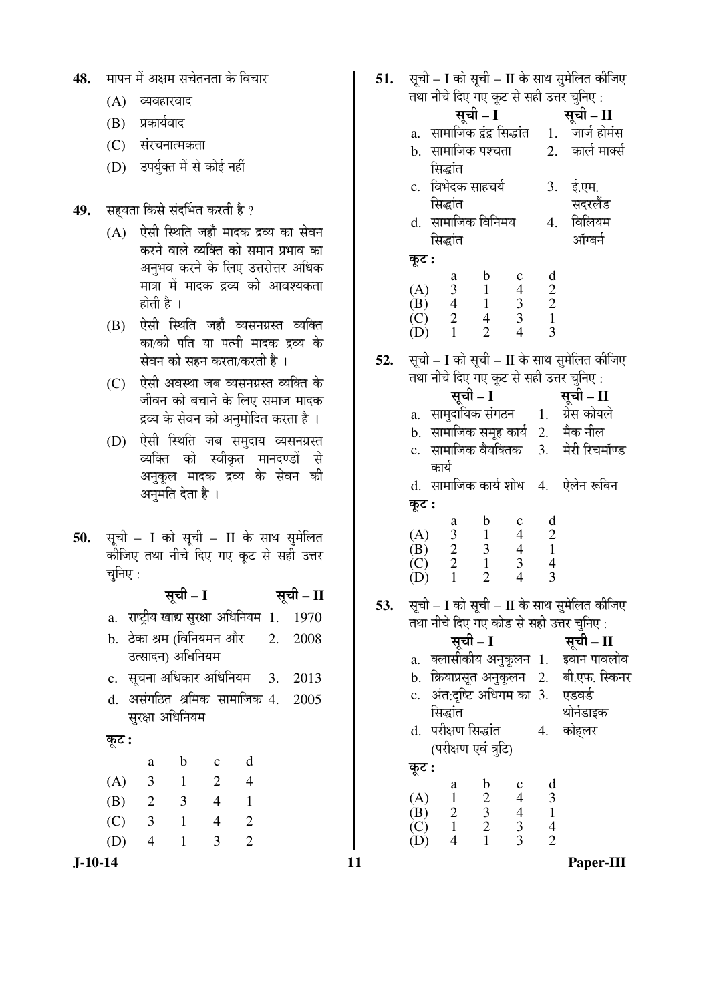- 48. मापन में अक्षम सचेतनता के विचार
	- $(A)$  व्यवहारवाद
	- (B) प्रकार्यवाद
	- (C) संरचनात्मकता
	- (D) उपर्युक्त में से कोई नहीं

## 49. सहयता किसे संदर्भित करती है ?

- $(A)$  ऐसी स्थिति जहाँ मादक द्रव्य का सेवन करने वाले व्यक्ति को समान प्रभाव का अनुभव करने के लिए उत्तरोत्तर अधिक मात्रा में मादक द्रव्य की आवश्यकता होती है ।
- (B) ऐसी स्थिति जहाँ व्यसनग्रस्त व्यक्ति का/को पति या पत्नी मादक द्रव्य के सेवन को सहन करता/करती है।
- (C) ऐसी अवस्था जब व्यसनग्रस्त व्यक्ति के जीवन को बचाने के लिए समाज मादक द्रव्य के सेवन को अनुमोदित करता है ।
- (D) ऐसी स्थिति जब समुदाय व्यसनग्रस्त व्यक्ति को स्वीकृत मानदण्डों से अनुकूल मादक द्रव्य के सेवन की अनुमति देता है ।
- 50. सूची I को सूची II के साथ सुमेलित कीजिए तथा नीचे दिए गए कूट से सही उत्तर चुनिए :

सूची – I सूची – II a. राष्ट्रीय खाद्य सुरक्षा अधिनियम $1.$   $1970$ b. ठेका श्रम (विनियमन और उत्सादन) अधिनियम 2. 2008  $c.$  सचना अधिकार अधिनियम  $3.2013$ d. असंगठित श्रमिक सामाजिक 4. 2005 सुरक्षा अधिनियम कूट : a b c d (A) 3 1 2 4 (B) 2 3 4 1

 (C) 3 1 4 2 (D) 4 1 3 2 **51.** सूची – I को सूची – II के साथ सुमेलित कीजिए तथा नीचे दिए गए कूट से सही उत्तर चुनिए <u>:</u>

|     |                |                                                                                                                       |             |                                                   | तथा नीचे दिए गए कूट से सही उत्तर चुनिए :    |  |
|-----|----------------|-----------------------------------------------------------------------------------------------------------------------|-------------|---------------------------------------------------|---------------------------------------------|--|
|     |                |                                                                                                                       | सूची - I    |                                                   | सूची - II                                   |  |
|     |                | a.   सामाजिक द्वंद्व सिद्धांत                                                                                         |             |                                                   | 1. जार्ज होमंस                              |  |
|     | b.             | सामाजिक पश्चता                                                                                                        |             |                                                   | 2. कार्ल मार्क्स                            |  |
|     |                | सिद्धांत                                                                                                              |             |                                                   |                                             |  |
|     | $\mathbf{c}$ . | विभेदक साहचर्य                                                                                                        |             |                                                   | 3. ई.एम.                                    |  |
|     |                | सिद्धांत                                                                                                              |             |                                                   | सदरलैंड                                     |  |
|     |                | d. सामाजिक विनिमय                                                                                                     |             |                                                   | 4. विलियम                                   |  |
|     |                | सिद्धांत                                                                                                              |             |                                                   | ऑग्बर्न                                     |  |
|     | कूट :          |                                                                                                                       |             |                                                   |                                             |  |
|     |                |                                                                                                                       | $\mathbf b$ | $\begin{array}{c}\n1 \\ 2 \\ 2 \\ 1\n\end{array}$ |                                             |  |
|     |                |                                                                                                                       |             |                                                   |                                             |  |
|     |                |                                                                                                                       |             |                                                   |                                             |  |
|     |                | (A) $\begin{array}{cccc} a & b & c \\ 3 & 1 & 4 \\ (B) & 4 & 1 & 3 \\ (C) & 2 & 4 & 3 \\ (D) & 1 & 2 & 4 \end{array}$ |             | $\overline{3}$                                    |                                             |  |
| 52. |                |                                                                                                                       |             |                                                   | सूची – I को सूची – II के साथ सुमेलित कीजिए  |  |
|     |                |                                                                                                                       |             |                                                   | तथा नीचे दिए गए कूट से सही उत्तर चुनिए :    |  |
|     |                | सूची – I                                                                                                              |             |                                                   | सूची – II                                   |  |
|     |                |                                                                                                                       |             |                                                   | a. सामुदायिक संगठन     1.    ग्रेस कोयले    |  |
|     |                |                                                                                                                       |             |                                                   | b. सामाजिक समूह कार्य 2. मैक नील            |  |
|     |                |                                                                                                                       |             |                                                   | c.  सामाजिक वैयक्तिक    3.    मेरी रिचमॉण्ड |  |
|     |                | कार्य                                                                                                                 |             |                                                   |                                             |  |
|     |                |                                                                                                                       |             |                                                   | $\frac{1}{2}$                               |  |

d. सामाजिक कार्य शोध 4. ऐलेन रूबिन Ûæú™ü **:**

|     | a | n | Ċ | Π |
|-----|---|---|---|---|
| (A) | 3 |   | 4 | 2 |
| (B) | 2 | 3 | 4 |   |
| (C) | 2 |   | 3 |   |
| (D) |   | 2 | 4 |   |

**53.** सूची – I को सूची – II के साथ सुमेलित कीजिए तथा नीचे दिए गए कोड से सही उत्तर चनिए :

|                         |                           | सूची – I                                   |                                            |    | सूची - II                                |
|-------------------------|---------------------------|--------------------------------------------|--------------------------------------------|----|------------------------------------------|
| a.                      | क्लासीकीय अनुकूलन 1.      |                                            |                                            |    | इवान पावलोव                              |
|                         |                           |                                            |                                            |    | b. क्रियाप्रसूत अनुकूलन 2. बी.एफ. स्किनर |
|                         | c. अंत:दृष्टि अधिगम का 3. |                                            |                                            |    | एडवर्ड                                   |
|                         | सिद्धांत                  |                                            |                                            |    | थोर्नडाइक                                |
|                         | d. परीक्षण सिद्धांत       |                                            |                                            | 4. | कोहलर                                    |
|                         | (परीक्षण एवं त्रुटि)      |                                            |                                            |    |                                          |
| कूट :                   |                           |                                            |                                            |    |                                          |
|                         | a                         | b                                          | $\mathbf c$                                | d  |                                          |
|                         | $\mathbf{1}$              |                                            |                                            | 3  |                                          |
|                         | $\frac{1}{2}$             |                                            |                                            |    |                                          |
| $(A)$<br>$(B)$<br>$(C)$ | $\overline{1}$            | $\begin{array}{c} 2 \\ 3 \\ 2 \end{array}$ | $\begin{array}{c} 4 \\ 4 \\ 3 \end{array}$ | 4  |                                          |
|                         | 4                         |                                            | 3                                          | 2  |                                          |

**J-10-14 11 Paper-III**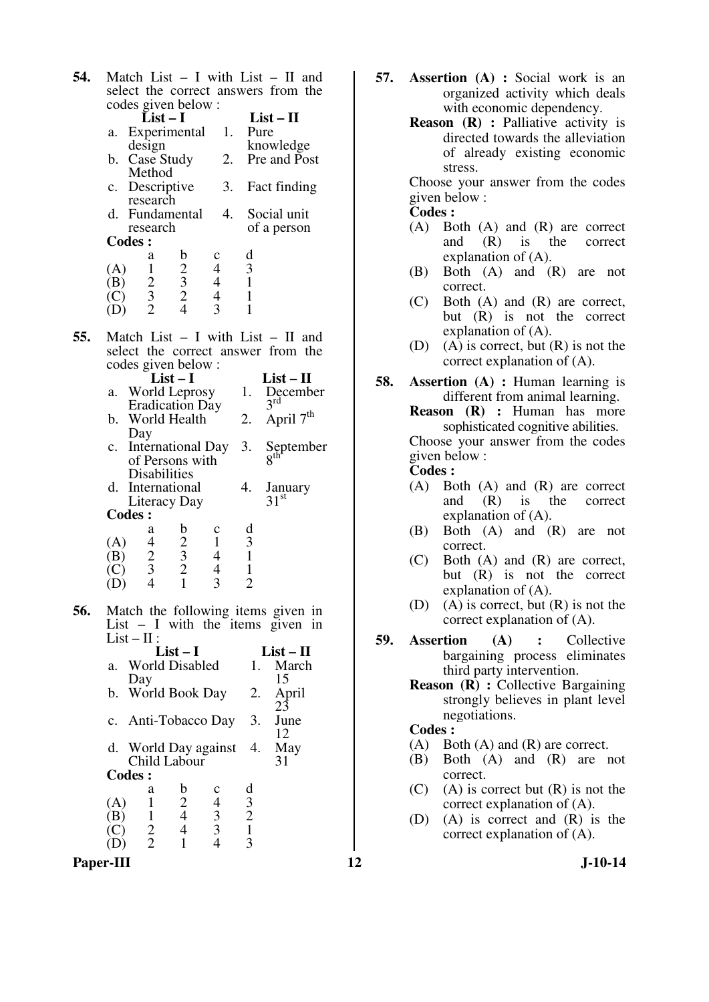| 54. | Match List $-$ I with List $-$ II and<br>select the correct answers from the                                                                                                   |
|-----|--------------------------------------------------------------------------------------------------------------------------------------------------------------------------------|
|     | codes given below :                                                                                                                                                            |
|     | $List-I$<br>$List-II$<br>1.<br>Pure<br>Experimental<br>a.<br>knowledge<br>design                                                                                               |
|     | 2.<br>Case Study<br>Pre and Post<br>b.<br>Method                                                                                                                               |
|     | 3.<br>Fact finding<br>Descriptive<br>$c_{\cdot}$<br>research                                                                                                                   |
|     | Fundamental<br>4.<br>Social unit<br>d.<br>of a person<br>research                                                                                                              |
|     | <b>Codes:</b><br>d                                                                                                                                                             |
|     | $\frac{b}{2}$<br>$\frac{3}{2}$<br>$\frac{2}{4}$<br>a<br>$\mathbf c$<br>3<br>$\frac{1}{2}$ $\frac{3}{2}$<br>4<br>(A)<br>$\overline{\mathcal{A}}$<br>$\mathbf{1}$<br>(B)         |
|     | $\overline{4}$<br>(C)<br>$\mathbf{1}$<br>$\overline{3}$<br>1<br>(D)                                                                                                            |
| 55. | Match List $-$ I with List $-$ II and<br>select the correct answer from the                                                                                                    |
|     | codes given below:<br>$List-I$<br>$List - II$<br>World Leprosy<br>December<br>1.<br>a.<br>$3^{\rm rd}$                                                                         |
|     | Eradication Day<br>April 7 <sup>th</sup><br>World Health<br>b.<br>2.                                                                                                           |
|     | Day<br>International Day<br>3.<br>September<br>8 <sup>th</sup><br>$\mathbf{c}$ .<br>of Persons with                                                                            |
|     | <b>Disabilities</b><br>d.<br>4.<br>International<br>January<br>31 <sup>st</sup><br>Literacy Day                                                                                |
|     | <b>Codes:</b>                                                                                                                                                                  |
|     | d<br>$\frac{b}{2}$ $\frac{3}{2}$ $\frac{2}{1}$<br>a<br>c<br>$\mathbf{1}$<br>$\overline{\mathbf{3}}$<br>4<br>(A)<br>$\frac{2}{3}$<br>$\,1\,$<br>$\overline{\mathcal{A}}$<br>(B) |
|     | $\mathbf 1$<br>$\overline{\mathcal{L}}$<br>(C)<br>$\overline{2}$<br>3<br>$\overline{4}$<br>(D)                                                                                 |
| 56. | Match the following items given in<br>List $-$ I with the items given in<br>$List - II$ :                                                                                      |
|     | $List-I$<br>$List - II$<br>World Disabled<br>1.<br>March<br>a.                                                                                                                 |
|     | 15<br>Day<br>World Book Day<br>2.<br>April<br>b.                                                                                                                               |
|     | 23<br>3.<br>June<br>Anti-Tobacco Day<br>$c_{\cdot}$<br>12                                                                                                                      |
|     | World Day against<br>4.<br>May<br>d.<br>Child Labour<br>31                                                                                                                     |
|     | <b>Codes:</b>                                                                                                                                                                  |
|     | d<br>$\mathfrak b$<br>а<br>c<br>$\frac{2}{4}$<br>$\mathbf{1}$<br>(A)                                                                                                           |
|     | $\begin{array}{c} 3 \\ 2 \\ 1 \end{array}$<br>$\begin{array}{c} 4 \\ 3 \\ 3 \\ 4 \end{array}$<br>$\mathbf{1}$<br>(B)<br>$\overline{4}$<br>3<br>$\mathbf{1}$                    |
|     |                                                                                                                                                                                |

- **57. Assertion (A) :** Social work is an organized activity which deals with economic dependency.
	- **Reason (R) :** Palliative activity is directed towards the alleviation of already existing economic stress.

Choose your answer from the codes given below :

**Codes :** 

- (A) Both (A) and (R) are correct<br>and  $(R)$  is the correct and (R) is the correct explanation of (A).
- (B) Both (A) and (R) are not correct.
- (C) Both (A) and (R) are correct, but (R) is not the correct explanation of (A).
- (D) (A) is correct, but  $(R)$  is not the correct explanation of (A).
- **58. Assertion (A) :** Human learning is different from animal learning.

**Reason (R) :** Human has more sophisticated cognitive abilities. Choose your answer from the codes given below :

## **Codes :**

- (A) Both (A) and (R) are correct and (R) is the correct explanation of (A).
- (B) Both (A) and (R) are not correct.
- (C) Both (A) and (R) are correct, but (R) is not the correct explanation of (A).
- (D) (A) is correct, but  $(R)$  is not the correct explanation of (A).
- **59. Assertion (A) :** Collective bargaining process eliminates third party intervention.
	- **Reason (R) : Collective Bargaining** strongly believes in plant level negotiations.

#### **Codes :**

- (A) Both (A) and (R) are correct.
- (B) Both (A) and (R) are not correct.
- $(C)$  (A) is correct but  $(R)$  is not the correct explanation of (A).
- (D) (A) is correct and (R) is the correct explanation of (A).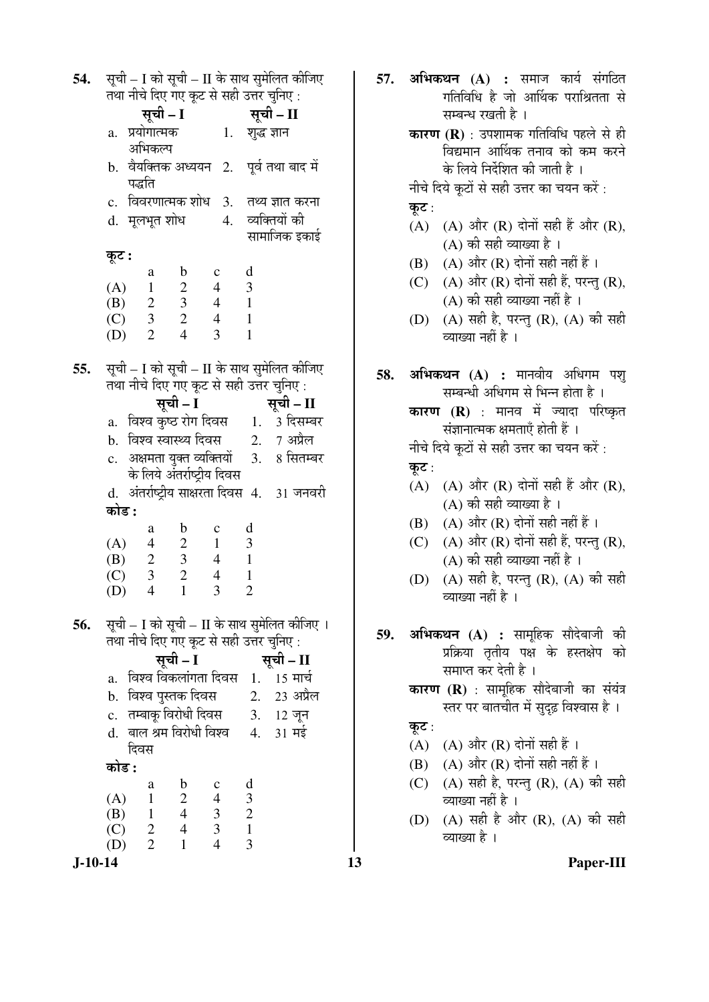$\bf 54.$   $\bf 770$  – I को सची – II के साथ समेलित कीजिए तथा नीचे दिए गए कूट से सही उत्तर चुनिए : सूची – I सूची – II a. प्रयोगात्मक अभिकल्प 1. शब्द ज्ञान b. वैयक्तिक अध्ययन 2. पूर्व तथा बाद में पद्धति c. विवरणात्मक शोध 3. तथ्य ज्ञात करना<br>d. मलभत शोध 4. व्यक्तियों की d. मूलभूत शोध 4. सामाजिक इकाई कट : a b c d  $(A)$  1 2 4 3 (B) 2 3 4 1  $(C)$  3 2 4 1 (D) 2 4 3 1 **55.**  $\vec{A}$  सूची – I को सूची – II के साथ सुमेलित कीजिए तथा नीचे दिए गए कट से सही उत्तर चनिए : सची – I सूची – II a. विश्व कृष्ठ रोग दिवस 1. 3 दिसम्बर b. विश्व स्वास्थ्य दिवस $2.$  7 अप्रैल c. अक्षमता युक्त व्यक्तियों के लिये अंतर्राष्ट्रीय दिवस 3. 8 सितम्बर d. अंतर्राष्ट्रीय साक्षरता दिवस 4. 31 जनवरी 󜅐ݟ **:** a b c d (A) 4 2 1 3 (B) 2 3 4 1  $(C)$  3 2 4 1 (D) 4 1 3 2 **56.** सूची – I को सूची – II के साथ सुमेलित कीजिए । तथा नीचे दिए गए कूट से सही उत्तर चुनिए : ÃÖæ"Öß **– I** ÃÖæ"Öß **– II**  a. बिश्व विकलांगता दिवस 1. 15 मार्च b. विश्व पुस्तक दिवस 2. 23 अप्रैल c. तम्बाक् विरोधी दिवस 3. 12 जून d. बाल श्रम विरोधी विश्व दिवस  $4. \quad 31 \text{ H}\frac{1}{5}$ <u>कोड :</u> a b c d (A)  $1 \t 2 \t 4 \t 3$ <br>(B)  $1 \t 4 \t 3 \t 2$  (B) 1 4 3 2 (C) 2 4 3 1 (D) 2 1 4 3

**57. अभिकथन (A) :** समाज कार्य संगठित गतिविधि है जो आर्थिक पराश्रितता से सम्बन्ध रखती है । **कारण (R)** : उपशामक गतिविधि पहले से ही विद्यमान आर्थिक तनाव को कम करने के लिये निर्देशित की जाती है । नीचे दिये कूटों से सही उत्तर का चयन करें : कूट:  $(A)$   $(A)$  और  $(R)$  दोनों सही हैं और  $(R)$ ,  $(A)$  की सही व्याख्या है । (B)  $(A)$  और  $(R)$  दोनों सही नहीं हैं। (C)  $(A)$  और  $(R)$  दोनों सही हैं, परन्तु  $(R)$ ,  $(A)$  की सही व्याख्या नहीं है । (D)  $(A)$  सही है, परन्त (R),  $(A)$  की सही व्याख्या नहीं है । **58. अभिकथन (A) :** मानवीय अधिगम पश् सम्बन्धी अधिगम से भिन्न होता है । **कारण (R)** : मानव में ज्यादा परिष्कृत संज्ञानात्मक क्षमताएँ होती हैं । नीचे दिये कूटों से सही उत्तर का चयन करें : कुट:  $(A)$   $(A)$  और  $(R)$  दोनों सही हैं और  $(R)$ . (A) की सही व्याख्या है ।  $(B)$   $(A)$  और  $(R)$  दोनों सही नहीं हैं। (C)  $(A)$  और  $(R)$  दोनों सही हैं, परन्तु  $(R)$ ,  $(A)$  की सही व्याख्या नहीं है । (D) (A) सही है, परन्तु (R), (A) की सही व्याख्या नहीं है । 59. अभिकथन (A) : सामूहिक सौदेबाजी की प्रक्रिया तृतीय पक्ष के हस्तक्षेप को समाप्त कर देती है । **कारण (R)** : सामहिक सौदेबाजी का संयंत्र स्तर पर बातचीत में सदढ विश्वास है । कुट $:$ (A)  $(A)$  और (R) दोनों सही हैं।  $(B)$   $(A)$  और  $(R)$  दोनों सही नहीं हैं। (C) (A) सही है, परन्तु (R), (A) की सही व्याख्या नहीं है । (D) (A) सही है और (R), (A) की सही व्याख्या है ।

**J-10-14 13 Paper-III**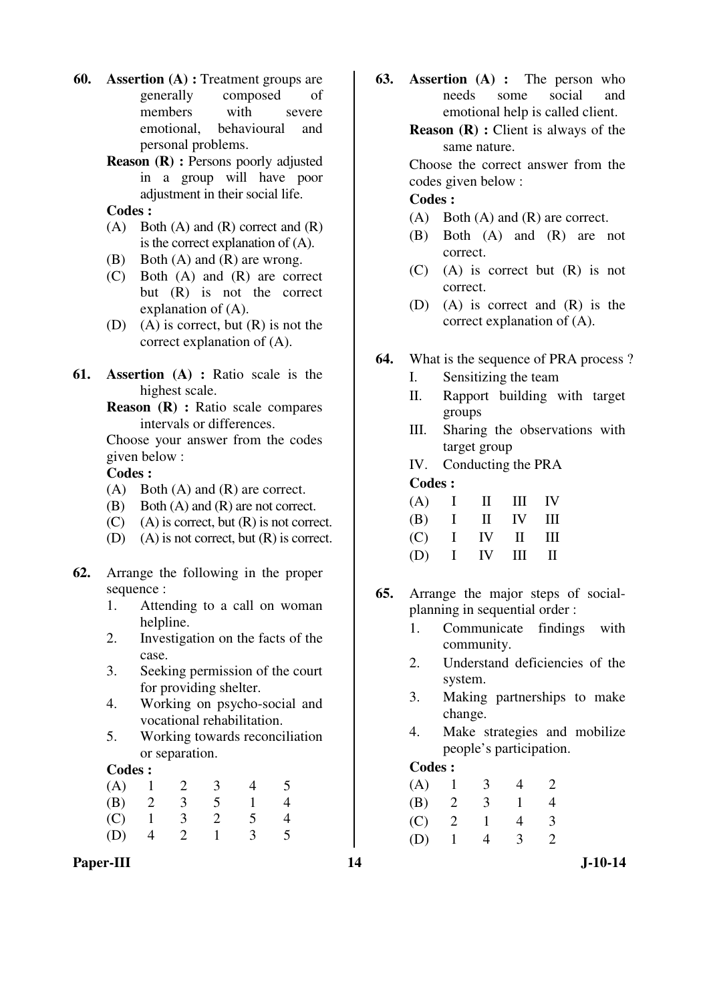- **60. Assertion (A) :** Treatment groups are generally composed of members with severe emotional, behavioural and personal problems.
	- **Reason (R) :** Persons poorly adjusted in a group will have poor adjustment in their social life.

## **Codes :**

- $(A)$  Both  $(A)$  and  $(R)$  correct and  $(R)$ is the correct explanation of (A).
- (B) Both (A) and (R) are wrong.
- (C) Both (A) and (R) are correct but (R) is not the correct explanation of (A).
- (D) (A) is correct, but  $(R)$  is not the correct explanation of (A).
- **61. Assertion (A) :** Ratio scale is the highest scale.
	- **Reason (R) :** Ratio scale compares intervals or differences.

Choose your answer from the codes given below :

#### **Codes :**

- (A) Both (A) and (R) are correct.
- (B) Both (A) and (R) are not correct.
- $(C)$  (A) is correct, but  $(R)$  is not correct.
- (D) (A) is not correct, but (R) is correct.
- **62.** Arrange the following in the proper sequence :
	- 1. Attending to a call on woman helpline.
	- 2. Investigation on the facts of the case.
	- 3. Seeking permission of the court for providing shelter.
	- 4. Working on psycho-social and vocational rehabilitation.
	- 5. Working towards reconciliation or separation.

#### **Codes :**

|     |  | $(A)$ 1 2 3 | $\overline{4}$  |  |
|-----|--|-------------|-----------------|--|
|     |  |             | (B) 2 3 5 1     |  |
|     |  | $(C)$ 1 3 2 | $\overline{5}$  |  |
| (D) |  |             | $4 \t2 \t1 \t3$ |  |

Paper-III **14** J-10-14

**63. Assertion (A) :** The person who needs some social and emotional help is called client.

> **Reason (R) :** Client is always of the same nature.

> Choose the correct answer from the codes given below :

## **Codes :**

- (A) Both (A) and (R) are correct.
- (B) Both (A) and (R) are not correct.
- (C) (A) is correct but (R) is not correct.
- (D) (A) is correct and (R) is the correct explanation of (A).
- **64.** What is the sequence of PRA process ?
	- I. Sensitizing the team
	- II. Rapport building with target groups
	- III. Sharing the observations with target group
	- IV. Conducting the PRA

**Codes :** 

|  | $(A)$ I II III IV |  |
|--|-------------------|--|
|  | $(B)$ I II IV III |  |
|  | $(C)$ I IV II III |  |
|  | $(D)$ I IV III II |  |

- **65.** Arrange the major steps of socialplanning in sequential order :
	- 1. Communicate findings with community.
	- 2. Understand deficiencies of the system.
	- 3. Making partnerships to make change.
	- 4. Make strategies and mobilize people's participation.

#### **Codes :**

| (A) |   | 3 |              |                       |
|-----|---|---|--------------|-----------------------|
| (B) | 2 | 3 | $\mathbf{1}$ |                       |
| (C) | 2 |   | 4            | 3                     |
| (D) |   | 4 | 3            | $\mathcal{D}_{\cdot}$ |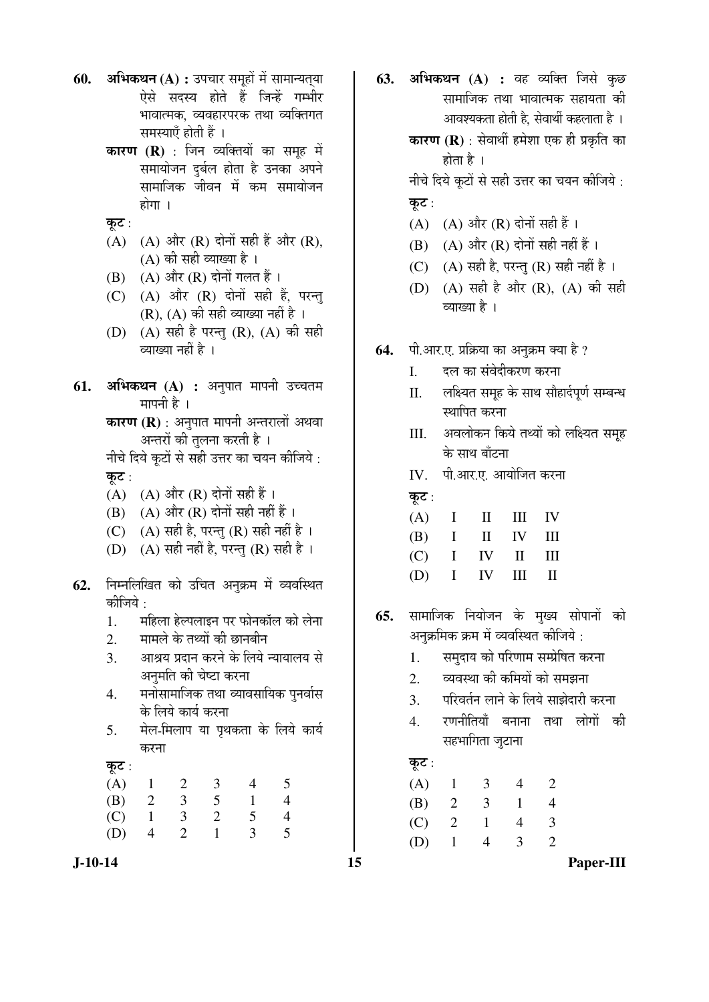- **60. अभिकथन (A) :** उपचार समूहों में सामान्यतया ऐसे सदस्य होते हैं जिन्हें गम्भीर भावात्मक, व्यवहारपरक तथा व्यक्तिगत समस्याएँ होती हैं ।
	- **कारण (R)** : जिन व्यक्तियों का समूह में समायोजन दुर्बल होता है उनका अपने सामाजिक जीवन में कम समायोजन होगा $\perp$
	- कूट $:$
	- $(A)$   $(A)$  और  $(R)$  दोनों सही हैं और  $(R)$ ,  $(A)$  की सही व्याख्या है।
	- $(B)$   $(A)$  और  $(R)$  दोनों गलत हैं।
	- $(C)$   $(A)$  और  $(R)$  दोनों सही हैं, परन्तु  $(R)$ ,  $(A)$  की सही व्याख्या नहीं है।
	- (D)  $(A)$  सही है परन्तु (R),  $(A)$  की सही व्याख्या नहीं है ।
- **61. अभिकथन (A) :** अनुपात मापनी उच्चतम मापनी है ।

**कारण (R)** : अनुपात मापनी अन्तरालों अथवा अन्तरों को तुलना करती है<sup>ं।</sup>

- नीचे दिये कूटों से सही उत्तर का चयन कीजिये : कट $:$
- $(A)$   $(A)$  और  $(R)$  दोनों सही हैं।
- $(B)$   $(A)$  और  $(R)$  दोनों सही नहीं हैं।
- (C) (A) सही है, परन्तु (R) सही नहीं है ।
- (D) (A) सही नहीं है, परन्तु (R) सही है ।
- 62. निम्नलिखित को उचित अनुक्रम में व्यवस्थित कीजिये :
	- 1. महिला हेल्पलाइन पर फोनकॉल को लेना
	- 2. मामले के तथ्यों की छानबीन
	- 3. आश्रय प्रदान करने के लिये न्यायालय से अनुमति की चेष्टा करना
	- 4. मनोसामाजिक तथा व्यावसायिक पुनर्वास के लिये कार्य करना
	- 5. मेल-मिलाप या पृथकता के लिये कार्य करना

 $\overline{a}$  $\overline{c}$  :

| $\mathbb{R}^{\bullet}$ . |   |     |               |   |  |
|--------------------------|---|-----|---------------|---|--|
| (A)                      |   | 1 2 | -3            |   |  |
| (B)                      | 2 | 3   | $\mathcal{L}$ |   |  |
| (C)                      |   | 3   | <sup>2</sup>  |   |  |
| (D)                      |   | 2   |               | 3 |  |
|                          |   |     |               |   |  |

**63. अभिकथन (A) :** वह व्यक्ति जिसे कुछ सामाजिक तथा भावात्मक सहायता की आवश्यकता होती है. सेवार्थी कहलाता है । **कारण (R)** : सेवार्थी हमेशा एक ही प्रकृति का

होता है $\,$  ।

नीचे दिये कूटों से सही उत्तर का चयन कीजिये :

- कूट $:$
- (A) (A) और  $(R)$  दोनों सही हैं।
- $(B)$   $(A)$  और  $(R)$  दोनों सही नहीं हैं।
- (C)  $(A)$  सही है, परन्तु (R) सही नहीं है।
- (D) (A) सही है और (R), (A) की सही व्याख्या है ।
- **64.** पी.आर.ए. प्रक्रिया का अनुक्रम क्या है ?
	- I. दल का संवेदीकरण करना
	- II. लक्ष्यित समूह के साथ सौहार्दपूर्ण सम्बन्ध स्थापित करना
	- III. अवलोकन किये तथ्यों को लक्ष्यित समूह के साथ बाँटना
	- IV. पी.आर.ए. आयोजित करना
	- कूट:

|  | $(A)$ I II III IV |  |
|--|-------------------|--|
|  | $(B)$ I II IV III |  |
|  | $(C)$ I IV II III |  |
|  | $(D)$ I IV III II |  |

- **65.** सामाजिक नियोजन के मुख्य सोपानों को अनुक्रमिक क्रम में व्यवस्थित कीजिये :
	- 1. समदाय को परिणाम सम्प्रेषित करना
	- 2. व्यवस्था की कमियों को समझना
	- 3. परिवर्तन लाने के लिये साझेदारी करना
	- 4. रणनीतियाँ बनाना तथा लोगों की सहभागिता जुटाना

## कूट $:$

| (A) | 1              | 3            | 4 |               |
|-----|----------------|--------------|---|---------------|
| (B) | 2              | 3            |   |               |
| (C) | $\overline{2}$ | $\mathbf{1}$ | 4 | 3             |
| (D) | $\mathbf{1}$   | 4            | 3 | $\mathcal{L}$ |

**J-10-14 15 Paper-III**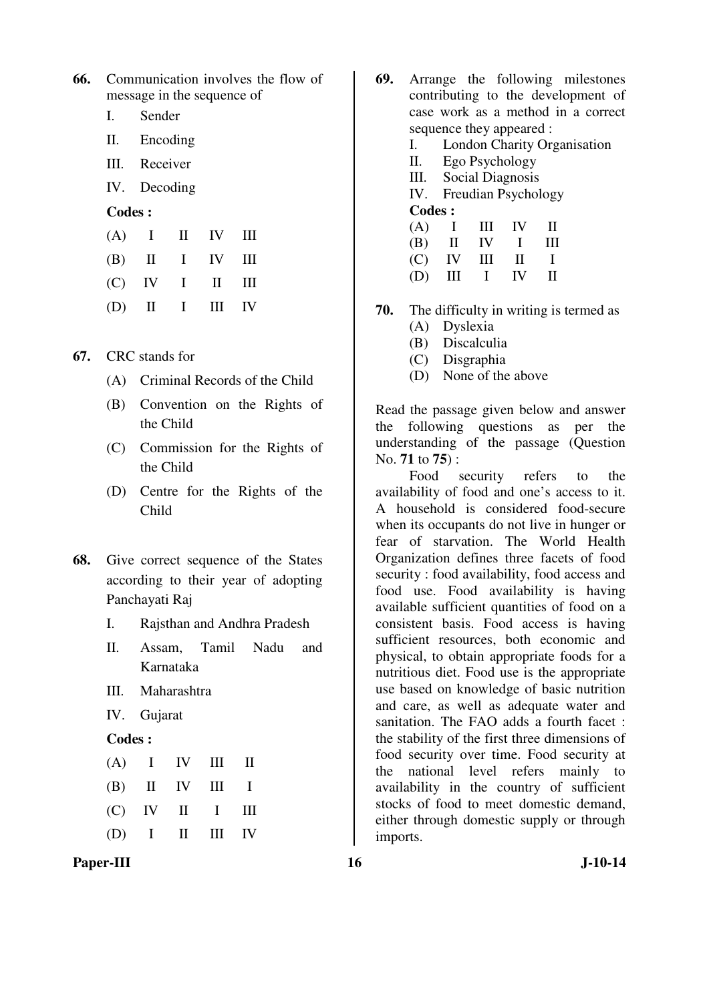| <b>66.</b> Communication involves the flow of |
|-----------------------------------------------|
| message in the sequence of                    |

- I. Sender
- II. Encoding
- III. Receiver
- IV. Decoding
- **Codes :**

|  |  | $(A)$ I II IV III |  |
|--|--|-------------------|--|
|  |  | $(B)$ II I IV III |  |
|  |  | $(C)$ IV I II III |  |
|  |  | $(D)$ II I III IV |  |

- **67.** CRC stands for
	- (A) Criminal Records of the Child
	- (B) Convention on the Rights of the Child
	- (C) Commission for the Rights of the Child
	- (D) Centre for the Rights of the Child
- **68.** Give correct sequence of the States according to their year of adopting Panchayati Raj
	- I. Rajsthan and Andhra Pradesh
	- II. Assam, Tamil Nadu and Karnataka
	- III. Maharashtra
	- IV. Gujarat

#### **Codes :**

|  | $(A)$ I IV III II |  |
|--|-------------------|--|
|  | $(B)$ II IV III I |  |
|  | $(C)$ IV II I III |  |
|  | $(D)$ I II III IV |  |

Paper-III **16** J-10-14

- **69.** Arrange the following milestones contributing to the development of case work as a method in a correct sequence they appeared :
	- I. London Charity Organisation
	- II. Ego Psychology
	- III. Social Diagnosis
	- IV. Freudian Psychology
	- **Codes :**

|  | $(A)$ I III IV II |  |
|--|-------------------|--|
|  | $(B)$ II IV I III |  |
|  | $(C)$ IV III II I |  |
|  | $(D)$ III I IV II |  |

- **70.** The difficulty in writing is termed as (A) Dyslexia
	- (B) Discalculia
	- (C) Disgraphia
	- (D) None of the above

Read the passage given below and answer the following questions as per the understanding of the passage (Question No. **71** to **75**) :

 Food security refers to the availability of food and one's access to it. A household is considered food-secure when its occupants do not live in hunger or fear of starvation. The World Health Organization defines three facets of food security : food availability, food access and food use. Food availability is having available sufficient quantities of food on a consistent basis. Food access is having sufficient resources, both economic and physical, to obtain appropriate foods for a nutritious diet. Food use is the appropriate use based on knowledge of basic nutrition and care, as well as adequate water and sanitation. The FAO adds a fourth facet : the stability of the first three dimensions of food security over time. Food security at the national level refers mainly to availability in the country of sufficient stocks of food to meet domestic demand, either through domestic supply or through imports.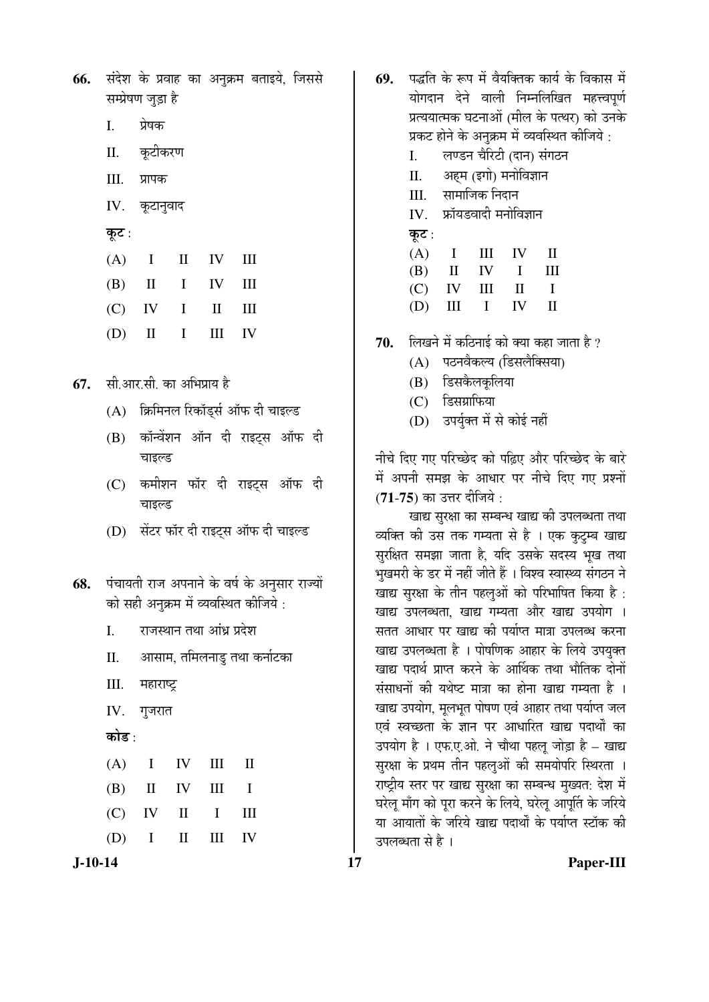|                    |  | 66. संदेश के प्रवाह का अनुक्रम बताइये, जिससे |  |
|--------------------|--|----------------------------------------------|--|
| सम्प्रेषण जुड़ा है |  |                                              |  |

- I. प्रेषक
- II. कटीकरण
- III. प्रापक
- IV. कृटानुवाद
- कूट:

| $(A)$ I II IV III |  |  |
|-------------------|--|--|
| $(B)$ II I IV III |  |  |
| $(C)$ IV I II III |  |  |
| $(D)$ II I III IV |  |  |

**67.** सी.आर.सी. का अभिप्राय है

- $(A)$  क्रिमिनल रिकॉड्स ऑफ दी चाइल्ड
- (B) कॉन्वेंशन ऑन दी राइट्स ऑफ दी चाइल्ड
- (C) कमीशन फॉर दी राइट्स ऑफ दी चाइल्ड
- $(D)$  सेंटर फॉर दी राइटस ऑफ दी चाइल्ड
- **68.** पंचायती राज अपनाने के वर्ष के अनुसार राज्यों को सही अनुक्रम में व्यवस्थित कीजिये :
	- I. राजस्थान तथा आंध्र प्रदेश
	- II. आसाम, तमिलनाडु तथा कर्नाटका
	- III. महाराष्ट्र
	- $IV.$  गुजरात
	- कोड :

|  | $(A)$ I IV III II |  |
|--|-------------------|--|
|  | $(B)$ II IV III I |  |
|  | $(C)$ IV II I III |  |
|  | $(D)$ I II III IV |  |

- 69. पद्धति के रूप में वैयक्तिक कार्य के विकास में योगदान देने वाली निम्नलिखित महत्त्वपर्ण प्रत्ययात्मक घटनाओं (मील के पत्थर) को उनके प्रकट होने के अनुक्रम में व्यवस्थित कीजिये :
	- I. लण्डन चैरिटी (दान) संगठन
	- II. अहम (इगो) मनोविज्ञान
	- III. सामाजिक निदान
	- IV. फ्रॉयडवादी मनोविज्ञान
	- कूट:

|  | $(A)$ I III IV II |  |
|--|-------------------|--|
|  | $(B)$ II IV I III |  |
|  | $(C)$ IV III II I |  |
|  | $(D)$ III I IV II |  |

- 70. लिखने में कठिनाई को क्या कहा जाता है ?
	- (A) पठनवैकल्य (डिसलैक्सिया)
	- (B) डिसकैलकूलिया
	- $(C)$  डिसंग्राफिया
	- (D) उपर्युक्त में से कोई नहीं

नीचे दिए गए परिच्छेद को पढ़िए और परिच्छेद के बारे में अपनी समझ के आधार पर नीचे दिए गए प्रश्नों (**71-75**) का उत्तर दीजिये :

खाद्य सुरक्षा का सम्बन्ध खाद्य की उपलब्धता तथा व्यक्ति की उस तक गम्यता से है । एक कुटुम्ब खाद्य सुरक्षित समझा जाता है, यदि उसके सदस्य भृख तथा भुखमरी के डर में नहीं जीते हैं । विश्व स्वास्थ्य संगठन ने खाद्य सरक्षा के तीन पहलओं को परिभाषित किया है: खाद्य उपलब्धता. खाद्य गम्यता और खाद्य उपयोग । सतत आधार पर खाद्य की पर्याप्त मात्रा उपलब्ध करना खाद्य उपलब्धता है । पोषणिक आहार के लिये उपयुक्त खाद्य पदार्थ प्राप्त करने के आर्थिक तथा भौतिक दोनों संसाधनों की यथेष्ट मात्रा का होना खाद्य गम्यता है । खाद्य उपयोग, मूलभूत पोषण एवं आहार तथा पर्याप्त जल एवं स्वच्छता के ज्ञान पर आधारित खाद्य पदार्थों का उपयोग है । एफ.ए.ओ. ने चौथा पहलू जोड़ा है – खाद्य सुरक्षा के प्रथम तीन पहलुओं की समयोपरि स्थिरता । राष्ट्रीय स्तर पर खाद्य सुरक्षा का सम्बन्ध मुख्यत: देश में घरेलू माँग को पुरा करने के लिये, घरेलू आपूर्ति के जरिये या आयातों के जरिये खाद्य पदार्थों के पर्याप्त स्टॉक की उपलब्धता से है ।

**J-10-14 17 Paper-III**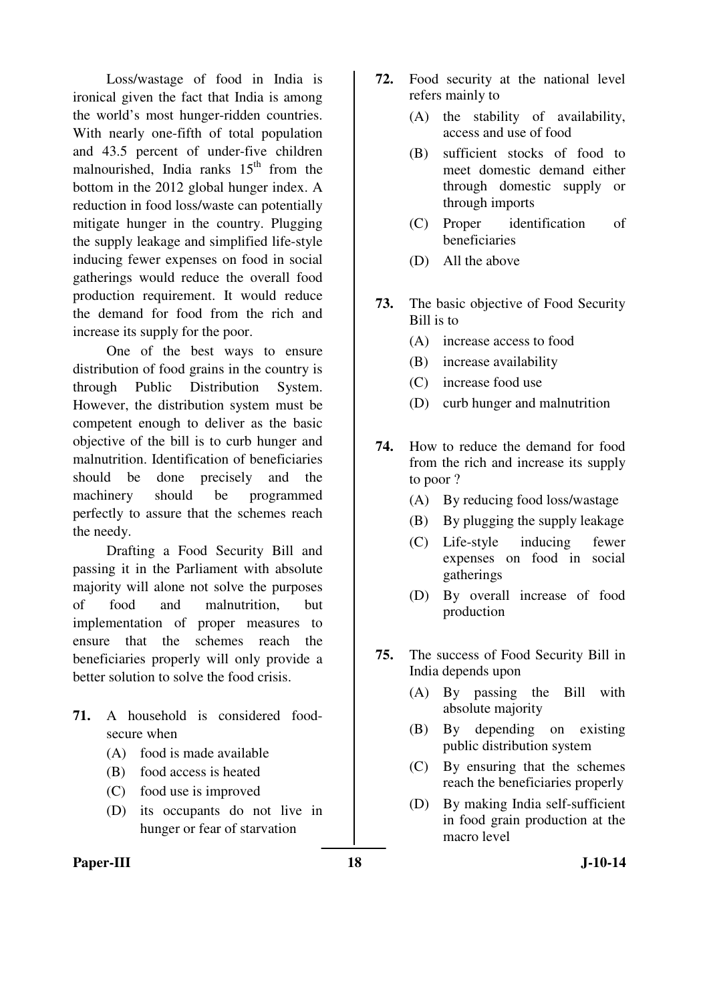Loss/wastage of food in India is ironical given the fact that India is among the world's most hunger-ridden countries. With nearly one-fifth of total population and 43.5 percent of under-five children malnourished, India ranks  $15<sup>th</sup>$  from the bottom in the 2012 global hunger index. A reduction in food loss/waste can potentially mitigate hunger in the country. Plugging the supply leakage and simplified life-style inducing fewer expenses on food in social gatherings would reduce the overall food production requirement. It would reduce the demand for food from the rich and increase its supply for the poor.

 One of the best ways to ensure distribution of food grains in the country is through Public Distribution System. However, the distribution system must be competent enough to deliver as the basic objective of the bill is to curb hunger and malnutrition. Identification of beneficiaries should be done precisely and the machinery should be programmed perfectly to assure that the schemes reach the needy.

 Drafting a Food Security Bill and passing it in the Parliament with absolute majority will alone not solve the purposes of food and malnutrition, but implementation of proper measures to ensure that the schemes reach the beneficiaries properly will only provide a better solution to solve the food crisis.

- **71.** A household is considered foodsecure when
	- (A) food is made available
	- (B) food access is heated
	- (C) food use is improved
	- (D) its occupants do not live in hunger or fear of starvation
- Paper-III **18** J-10-14
- **72.** Food security at the national level refers mainly to
	- (A) the stability of availability, access and use of food
	- (B) sufficient stocks of food to meet domestic demand either through domestic supply or through imports
	- (C) Proper identification of beneficiaries
	- (D) All the above
- **73.** The basic objective of Food Security Bill is to
	- (A) increase access to food
	- (B) increase availability
	- (C) increase food use
	- (D) curb hunger and malnutrition
- **74.** How to reduce the demand for food from the rich and increase its supply to poor ?
	- (A) By reducing food loss/wastage
	- (B) By plugging the supply leakage
	- (C) Life-style inducing fewer expenses on food in social gatherings
	- (D) By overall increase of food production
- **75.** The success of Food Security Bill in India depends upon
	- (A) By passing the Bill with absolute majority
	- (B) By depending on existing public distribution system
	- (C) By ensuring that the schemes reach the beneficiaries properly
	- (D) By making India self-sufficient in food grain production at the macro level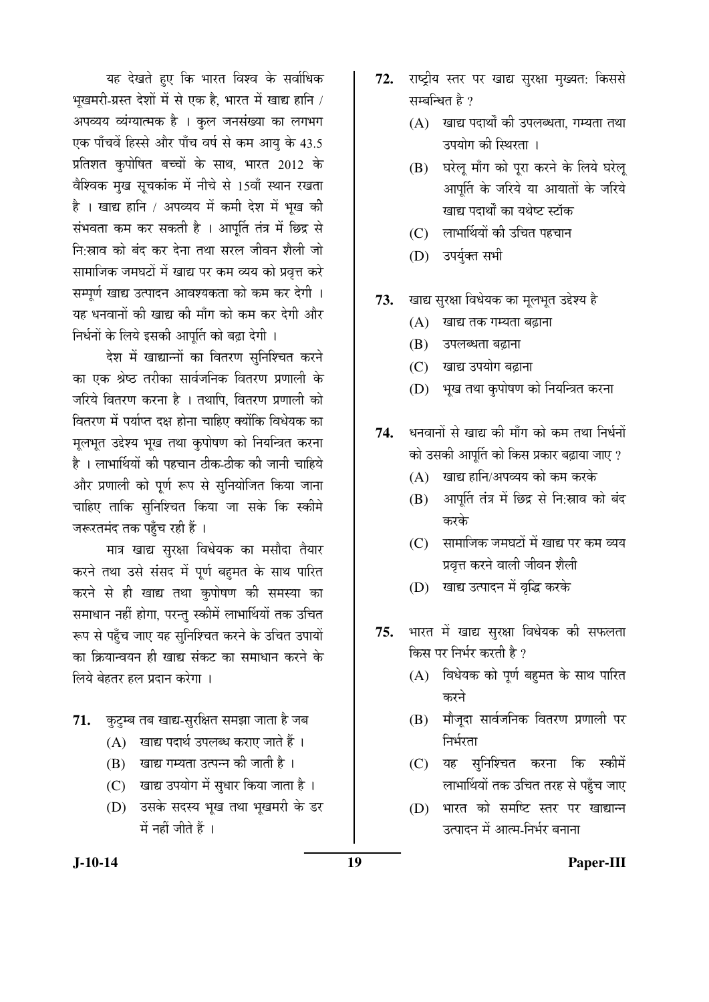यह देखते हुए कि भारत विश्व के सर्वाधिक भुखमरी-ग्रस्त देशों में से एक है. भारत में खाद्य हानि / अपव्यय व्यंग्यात्मक है । कुल जनसंख्या का लगभग एक पाँचवें हिस्से और पाँच वर्ष से कम आयु के 43.5 प्रतिशत कृपोषित बच्चों के साथ, भारत 2012 के वेश्विक मुख सूचकांक में नीचे से 15वाँ स्थान रखता है। खाद्य हानि / अपव्यय में कमी देश में भुख की संभवता कम कर सकती है । आपूर्ति तंत्र में छिद्र से नि:स्राव को बंद कर देना तथा सरल जीवन शैली जो सामाजिक जमघटों में खाद्य पर कम व्यय को प्रवृत्त करे सम्पूर्ण खाद्य उत्पादन आवश्यकता को कम कर देगी । यह धनवानों की खाद्य की माँग को कम कर देगी और निर्धनों के लिये इसकी आपूर्ति को बढ़ा देगी ।

देश में खाद्यान्नों का वितरण सुनिश्चित करने का एक श्रेष्ठ तरीका सार्वजनिक वितरण प्रणाली के जरिये वितरण करना है । तथापि. वितरण प्रणाली को <u>वितरण में पर्याप्त दक्ष होना चाहिए क्योंकि विधेयक का</u> मुलभुत उद्देश्य भुख तथा कुपोषण को नियन्त्रित करना है । लाभार्थियों की पहचान ठीक-ठीक की जानी चाहिये ओर प्रणाली को पूर्ण रूप से सुनियोजित किया जाना चाहिए ताकि सुनिश्चित किया जा सके कि स्कीमे जरूरतमंद तक पहुँच रही हैं ।

मात्र खाद्य सुरक्षा विधेयक का मसौदा तैयार करने तथा उसे संसद में पूर्ण बहमत के साथ पारित करने से ही खाद्य तथा कुपोषण की समस्या का समाधान नहीं होगा, परन्तु स्कीमें लाभार्थियों तक उचित रूप से पहुँच जाए यह सुनिश्चित करने के उचित उपायों का क्रियान्वयन ही खाद्य संकट का समाधान करने के लिये बेहतर हल प्रदान करेगा ।

- 71. कुटुम्ब तब खाद्य-सुरक्षित समझा जाता है जब
	- $(A)$  खाद्य पदार्थ उपलब्ध कराए जाते हैं।
	- $(B)$  खाद्य गम्यता उत्पन्न की जाती है ।
	- (C) खाद्य उपयोग में सुधार किया जाता है।
	- (D) उसके सदस्य भृख तथा भृखमरी के डर  $\vec{H}$  नहीं जीते हैं ।
- 72. राष्ट्रीय स्तर पर खाद्य सुरक्षा मुख्यत: किससे सम्बन्धित है $\overline{?}$ 
	- $(A)$  खाद्य पदार्थों की उपलब्धता, गम्यता तथा उपयोग की स्थिरता ।
	- (B) घरेलू माँग को पूरा करने के लिये घरेलू आपूर्ति के जरिये या आयातों के जरिये खाद्य पदार्थों का यथेष्ट स्टॉक
	- (C) लाभार्थियों की उचित पहचान
	- (D) उपर्युक्त सभी
- 73. खाद्य सुरक्षा विधेयक का मूलभूत उद्देश्य है
	- $(A)$  खाद्य तक गम्यता बढ़ाना
	- (B) उपलब्धता बढ़ाना
	- (C) खाद्य उपयोग बढ़ाना
	- (D) भूख तथा कुपोषण को नियन्त्रित करना
- 74. धनवानों से खाद्य की माँग को कम तथा निर्धनों को उसकी आपूर्ति को किस प्रकार बढ़ाया जाए ?
	- $(A)$  खाद्य हानि/अपव्यय को कम करके
	- (B) आपूर्ति तंत्र में छिद्र से नि:स्राव को बंद करके
	- (C) सामाजिक जमघटों में खाद्य पर कम व्यय प्रवृत्त करने वाली जीवन शैली
	- (D) खाद्य उत्पादन में वृद्धि करके
- 75. भारत में खाद्य सरक्षा विधेयक की सफलता किस पर निर्भर करती है ?
	- $(A)$  विधेयक को पूर्ण बहमत के साथ पारित करने
	- (B) मौजूदा सार्वजनिक वितरण प्रणाली पर निर्भरता
	- (C) यह सुनिश्चित करना कि स्कीमें लाभार्थियों तक उचित तरह से पहँच जाए
	- (D) भारत को समष्टि स्तर पर खाद्यान्न उत्पादन में आत्म-निर्भर बनाना

#### **J-10-14 19 Paper-III**